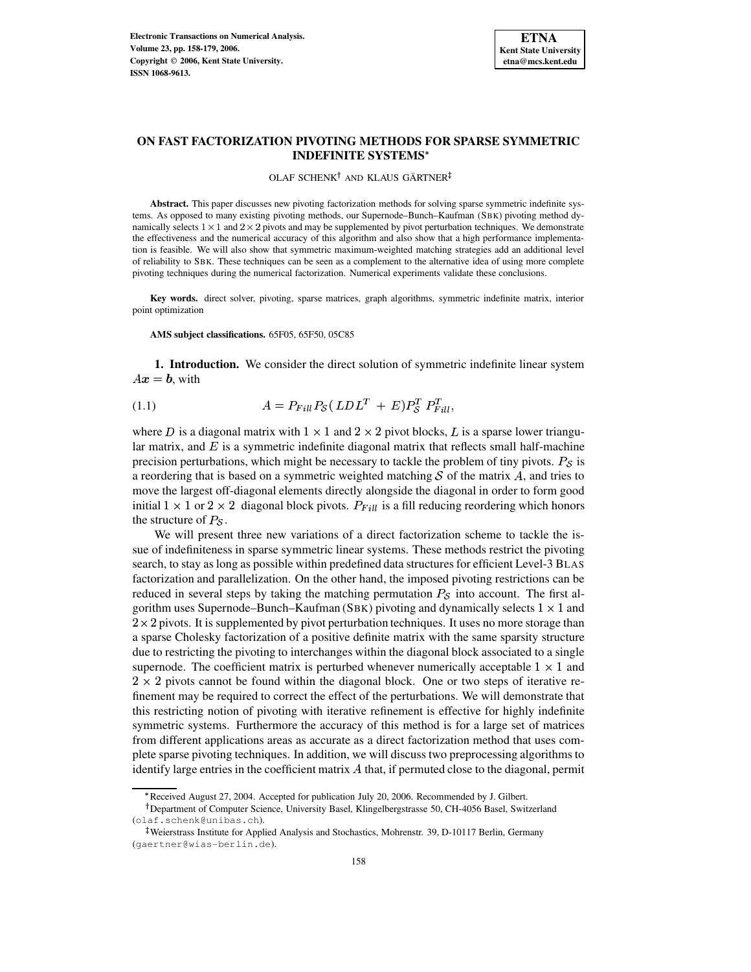

# **ON FAST FACTORIZATION PIVOTING METHODS FOR SPARSE SYMMETRIC INDEFINITE SYSTEMS**

# OLAF SCHENK<sup>†</sup> AND KLAUS GÄRTNER

**Abstract.** This paper discusses new pivoting factorization methods for solving sparse symmetric indefinite systems. As opposed to many existing pivoting methods, our Supernode–Bunch–Kaufman (SBK) pivoting method dynamically selects  $1 \times 1$  and  $2 \times 2$  pivots and may be supplemented by pivot perturbation techniques. We demonstrate the effectiveness and the numerical accuracy of this algorithm and also show that a high performance implementation is feasible. We will also show that symmetric maximum-weighted matching strategies add an additional level of reliability to SBK. These techniques can be seen as a complement to the alternative idea of using more complete pivoting techniques during the numerical factorization. Numerical experiments validate these conclusions.

**Key words.** direct solver, pivoting, sparse matrices, graph algorithms, symmetric indefinite matrix, interior point optimization

**AMS subject classifications.** 65F05, 65F50, 05C85

**1. Introduction.** We consider the direct solution of symmetric indefinite linear system  $Ax = b$ , with

(1.1) 
$$
A = P_{Fill} P_{\mathcal{S}} (LDL^T + E) P_{\mathcal{S}}^T P_{Fill}^T,
$$

where D is a diagonal matrix with  $1 \times 1$  and  $2 \times 2$  pivot blocks, L is a sparse lower triangular matrix, and  $E$  is a symmetric indefinite diagonal matrix that reflects small half-machine precision perturbations, which might be necessary to tackle the problem of tiny pivots.  $P_{\mathcal{S}}$  is a reordering that is based on a symmetric weighted matching  $S$  of the matrix  $A$ , and tries to move the largest off-diagonal elements directly alongside the diagonal in order to form good initial  $1 \times 1$  or  $2 \times 2$  diagonal block pivots.  $P_{Fill}$  is a fill reducing reordering which honors the structure of  $P_{\mathcal{S}}$ .

We will present three new variations of a direct factorization scheme to tackle the issue of indefiniteness in sparse symmetric linear systems. These methods restrict the pivoting search, to stay as long as possible within predefined data structures for efficient Level-3 BLAS factorization and parallelization. On the other hand, the imposed pivoting restrictions can be reduced in several steps by taking the matching permutation  $P_{\mathcal{S}}$  into account. The first algorithm uses Supernode–Bunch–Kaufman (SBK) pivoting and dynamically selects  $1 \times 1$  and  $2 \times 2$  pivots. It is supplemented by pivot perturbation techniques. It uses no more storage than a sparse Cholesky factorization of a positive definite matrix with the same sparsity structure due to restricting the pivoting to interchanges within the diagonal block associated to a single supernode. The coefficient matrix is perturbed whenever numerically acceptable  $1 \times 1$  and  $2 \times 2$  pivots cannot be found within the diagonal block. One or two steps of iterative refinement may be required to correct the effect of the perturbations. We will demonstrate that this restricting notion of pivoting with iterative refinement is effective for highly indefinite symmetric systems. Furthermore the accuracy of this method is for a large set of matrices from different applications areas as accurate as a direct factorization method that uses complete sparse pivoting techniques. In addition, we will discuss two preprocessing algorithms to identify large entries in the coefficient matrix  $A$  that, if permuted close to the diagonal, permit

<sup>\*</sup> Received August 27, 2004. Accepted for publication July 20, 2006. Recommended by J. Gilbert.

<sup>&</sup>lt;sup>†</sup> Department of Computer Science, University Basel, Klingelbergstrasse 50, CH-4056 Basel, Switzerland (olaf.schenk@unibas.ch).

<sup>-</sup> Weierstrass Institute for Applied Analysis and Stochastics, Mohrenstr. 39, D-10117 Berlin, Germany (gaertner@wias-berlin.de).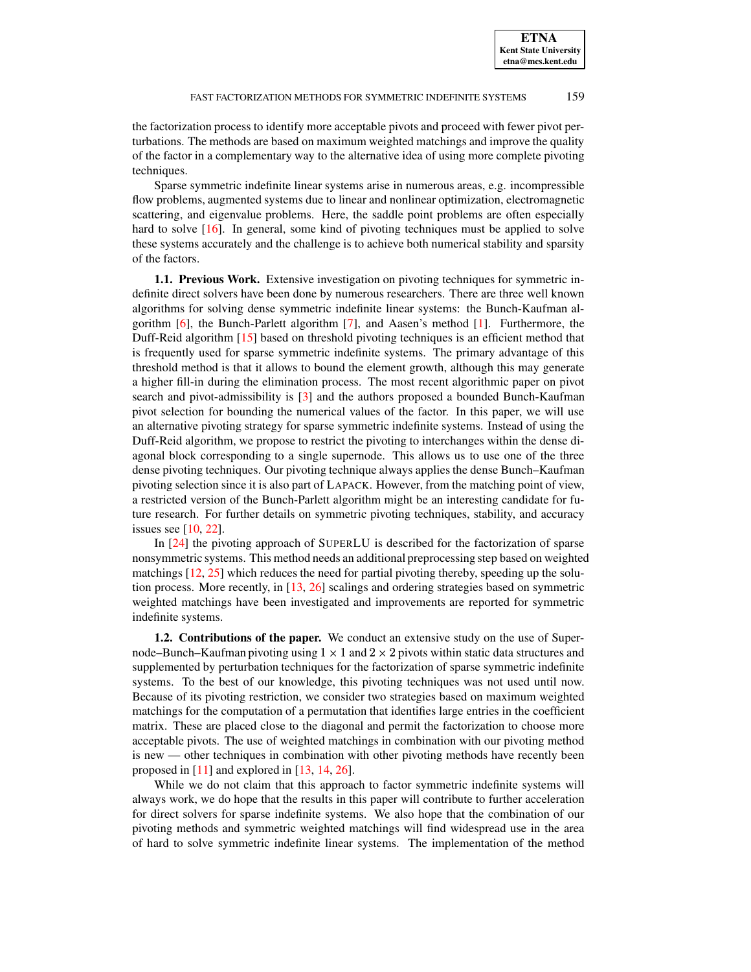the factorization process to identify more acceptable pivots and proceed with fewer pivot perturbations. The methods are based on maximum weighted matchings and improve the quality of the factor in a complementary way to the alternative idea of using more complete pivoting techniques.

Sparse symmetric indefinite linear systems arise in numerous areas, e.g. incompressible flow problems, augmented systems due to linear and nonlinear optimization, electromagnetic scattering, and eigenvalue problems. Here, the saddle point problems are often especially hard to solve [\[16\]](#page-20-0). In general, some kind of pivoting techniques must be applied to solve these systems accurately and the challenge is to achieve both numerical stability and sparsity of the factors.

**1.1. Previous Work.** Extensive investigation on pivoting techniques for symmetric indefinite direct solvers have been done by numerous researchers. There are three well known algorithms for solving dense symmetric indefinite linear systems: the Bunch-Kaufman algorithm [\[6\]](#page-20-1), the Bunch-Parlett algorithm [\[7\]](#page-20-2), and Aasen's method [\[1\]](#page-20-3). Furthermore, the Duff-Reid algorithm [\[15\]](#page-20-4) based on threshold pivoting techniques is an efficient method that is frequently used for sparse symmetric indefinite systems. The primary advantage of this threshold method is that it allows to bound the element growth, although this may generate a higher fill-in during the elimination process. The most recent algorithmic paper on pivot search and pivot-admissibility is [\[3\]](#page-20-5) and the authors proposed a bounded Bunch-Kaufman pivot selection for bounding the numerical values of the factor. In this paper, we will use an alternative pivoting strategy for sparse symmetric indefinite systems. Instead of using the Duff-Reid algorithm, we propose to restrict the pivoting to interchanges within the dense diagonal block corresponding to a single supernode. This allows us to use one of the three dense pivoting techniques. Our pivoting technique always applies the dense Bunch–Kaufman pivoting selection since it is also part of LAPACK. However, from the matching point of view, a restricted version of the Bunch-Parlett algorithm might be an interesting candidate for future research. For further details on symmetric pivoting techniques, stability, and accuracy issues see [\[10,](#page-20-6) [22\]](#page-21-0).

In [\[24\]](#page-21-1) the pivoting approach of SUPERLU is described for the factorization of sparse nonsymmetric systems. This method needs an additional preprocessing step based on weighted matchings [\[12,](#page-20-7) [25\]](#page-21-2) which reduces the need for partial pivoting thereby, speeding up the solution process. More recently, in [\[13,](#page-20-8) [26\]](#page-21-3) scalings and ordering strategies based on symmetric weighted matchings have been investigated and improvements are reported for symmetric indefinite systems.

**1.2. Contributions of the paper.** We conduct an extensive study on the use of Supernode–Bunch–Kaufman pivoting using  $1 \times 1$  and  $2 \times 2$  pivots within static data structures and supplemented by perturbation techniques for the factorization of sparse symmetric indefinite systems. To the best of our knowledge, this pivoting techniques was not used until now. Because of its pivoting restriction, we consider two strategies based on maximum weighted matchings for the computation of a permutation that identifies large entries in the coefficient matrix. These are placed close to the diagonal and permit the factorization to choose more acceptable pivots. The use of weighted matchings in combination with our pivoting method is new — other techniques in combination with other pivoting methods have recently been proposed in [\[11\]](#page-20-9) and explored in [\[13,](#page-20-8) [14,](#page-20-10) [26\]](#page-21-3).

While we do not claim that this approach to factor symmetric indefinite systems will always work, we do hope that the results in this paper will contribute to further acceleration for direct solvers for sparse indefinite systems. We also hope that the combination of our pivoting methods and symmetric weighted matchings will find widespread use in the area of hard to solve symmetric indefinite linear systems. The implementation of the method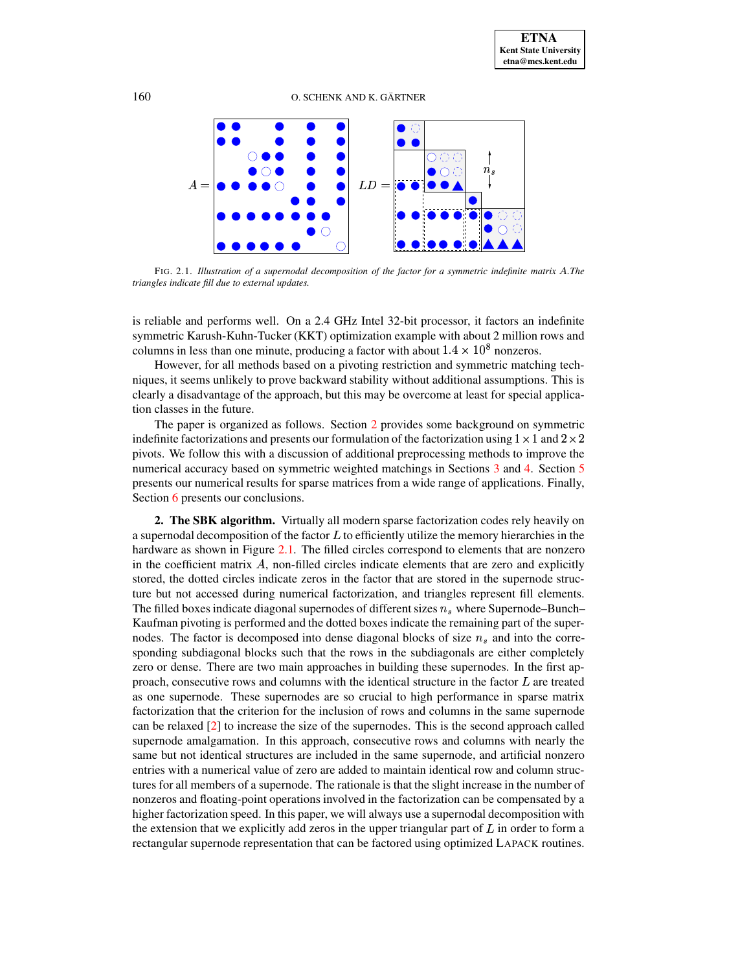160 O. SCHENK AND K. GÄRTNER



<span id="page-2-1"></span>FIG. 2.1. *Illustration of a supernodal decomposition of the factor for a symmetric indefinite matrix* <sup>D</sup>*.The triangles indicate fill due to external updates.*

is reliable and performs well. On a 2.4 GHz Intel 32-bit processor, it factors an indefinite symmetric Karush-Kuhn-Tucker (KKT) optimization example with about 2 million rows and columns in less than one minute, producing a factor with about  $1.4 \times 10^8$  nonzeros.

However, for all methods based on a pivoting restriction and symmetric matching techniques, it seems unlikely to prove backward stability without additional assumptions. This is clearly a disadvantage of the approach, but this may be overcome at least for special application classes in the future.

The paper is organized as follows. Section [2](#page-2-0) provides some background on symmetric indefinite factorizations and presents our formulation of the factorization using  $1 \times 1$  and  $2 \times 2$ pivots. We follow this with a discussion of additional preprocessing methods to improve the numerical accuracy based on symmetric weighted matchings in Sections [3](#page-3-0) and [4.](#page-5-0) Section [5](#page-7-0) presents our numerical results for sparse matrices from a wide range of applications. Finally, Section [6](#page-18-0) presents our conclusions.

<span id="page-2-0"></span>**2. The SBK algorithm.** Virtually all modern sparse factorization codes rely heavily on a supernodal decomposition of the factor  $L$  to efficiently utilize the memory hierarchies in the hardware as shown in Figure [2.1.](#page-2-1) The filled circles correspond to elements that are nonzero in the coefficient matrix  $A$ , non-filled circles indicate elements that are zero and explicitly stored, the dotted circles indicate zeros in the factor that are stored in the supernode structure but not accessed during numerical factorization, and triangles represent fill elements. The filled boxes indicate diagonal supernodes of different sizes  $n<sub>s</sub>$  where Supernode–Bunch– Kaufman pivoting is performed and the dotted boxes indicate the remaining part of the supernodes. The factor is decomposed into dense diagonal blocks of size  $n_s$  and into the corresponding subdiagonal blocks such that the rows in the subdiagonals are either completely zero or dense. There are two main approaches in building these supernodes. In the first approach, consecutive rows and columns with the identical structure in the factor  $L$  are treated as one supernode. These supernodes are so crucial to high performance in sparse matrix factorization that the criterion for the inclusion of rows and columns in the same supernode can be relaxed [\[2\]](#page-20-11) to increase the size of the supernodes. This is the second approach called supernode amalgamation. In this approach, consecutive rows and columns with nearly the same but not identical structures are included in the same supernode, and artificial nonzero entries with a numerical value of zero are added to maintain identical row and column structures for all members of a supernode. The rationale is that the slight increase in the number of nonzeros and floating-point operations involved in the factorization can be compensated by a higher factorization speed. In this paper, we will always use a supernodal decomposition with the extension that we explicitly add zeros in the upper triangular part of  $L$  in order to form a rectangular supernode representation that can be factored using optimized LAPACK routines.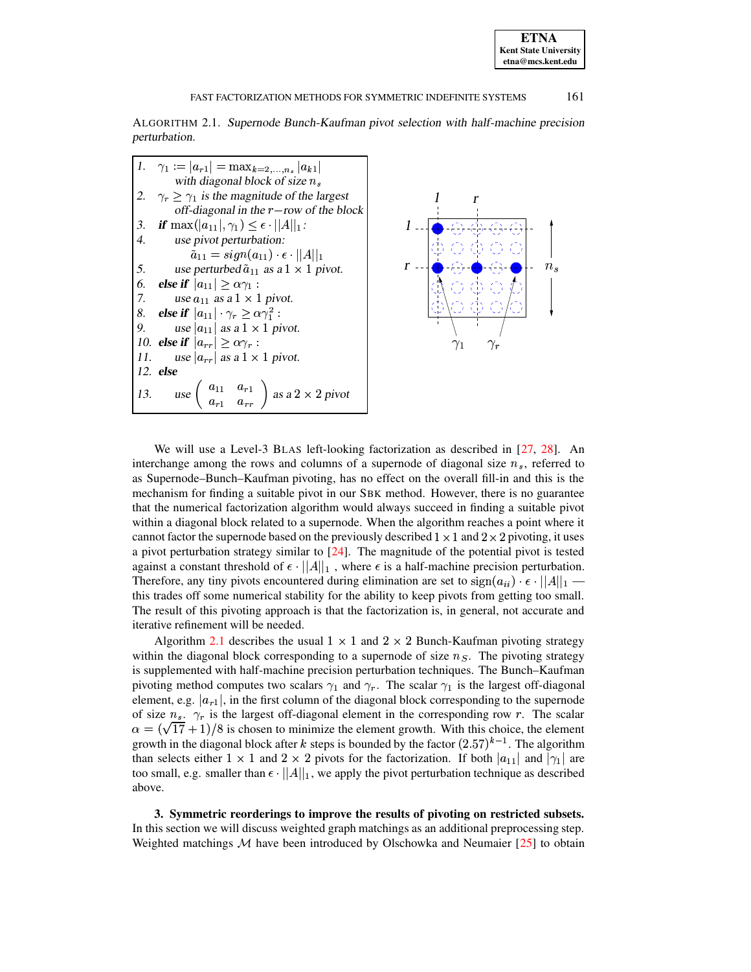ALGORITHM 2.1. Supernode Bunch-Kaufman pivot selection with half-machine precision perturbation.

<span id="page-3-1"></span>

We will use a Level-3 BLAS left-looking factorization as described in [\[27,](#page-21-4) [28\]](#page-21-5). An interchange among the rows and columns of a supernode of diagonal size  $n_s$ , referred to as Supernode–Bunch–Kaufman pivoting, has no effect on the overall fill-in and this is the mechanism for finding a suitable pivot in our SBK method. However, there is no guarantee that the numerical factorization algorithm would always succeed in finding a suitable pivot within a diagonal block related to a supernode. When the algorithm reaches a point where it cannot factor the supernode based on the previously described  $1 \times 1$  and  $2 \times 2$  pivoting, it uses a pivot perturbation strategy similar to [\[24\]](#page-21-1). The magnitude of the potential pivot is tested against a constant threshold of  $\epsilon \cdot ||A||_1$ , where  $\epsilon$  is a half-machine precision perturbation. Therefore, any tiny pivots encountered during elimination are set to  $sign(a_{ii}) \cdot \epsilon \cdot ||A||_1$  this trades off some numerical stability for the ability to keep pivots from getting too small. The result of this pivoting approach is that the factorization is, in general, not accurate and iterative refinement will be needed.

Algorithm [2.1](#page-3-1) describes the usual  $1 \times 1$  and  $2 \times 2$  Bunch-Kaufman pivoting strategy within the diagonal block corresponding to a supernode of size  $n<sub>S</sub>$ . The pivoting strategy is supplemented with half-machine precision perturbation techniques. The Bunch–Kaufman pivoting method computes two scalars  $\gamma_1$  and  $\gamma_r$ . The scalar  $\gamma_1$  is the largest off-diagonal element, e.g.  $|a_{r1}|$ , in the first column of the diagonal block corresponding to the supernode of size  $n_s$ .  $\gamma_r$  is the largest off-diagonal element in the corresponding row r. The scalar  $\alpha = (\sqrt{17} + 1)/8$  is chosen to minimize the element growth. With this choice, the element growth in the diagonal block after k steps is bounded by the factor  $(2.57)^{k-1}$ . The algorithm than selects either  $1 \times 1$  and  $2 \times 2$  pivots for the factorization. If both  $|a_{11}|$  and  $|\gamma_1|$  are too small, e.g. smaller than  $\epsilon \cdot ||A||_1$ , we apply the pivot perturbation technique as described above.

<span id="page-3-0"></span>**3. Symmetric reorderings to improve the results of pivoting on restricted subsets.** In this section we will discuss weighted graph matchings as an additional preprocessing step. Weighted matchings  $M$  have been introduced by Olschowka and Neumaier [\[25\]](#page-21-2) to obtain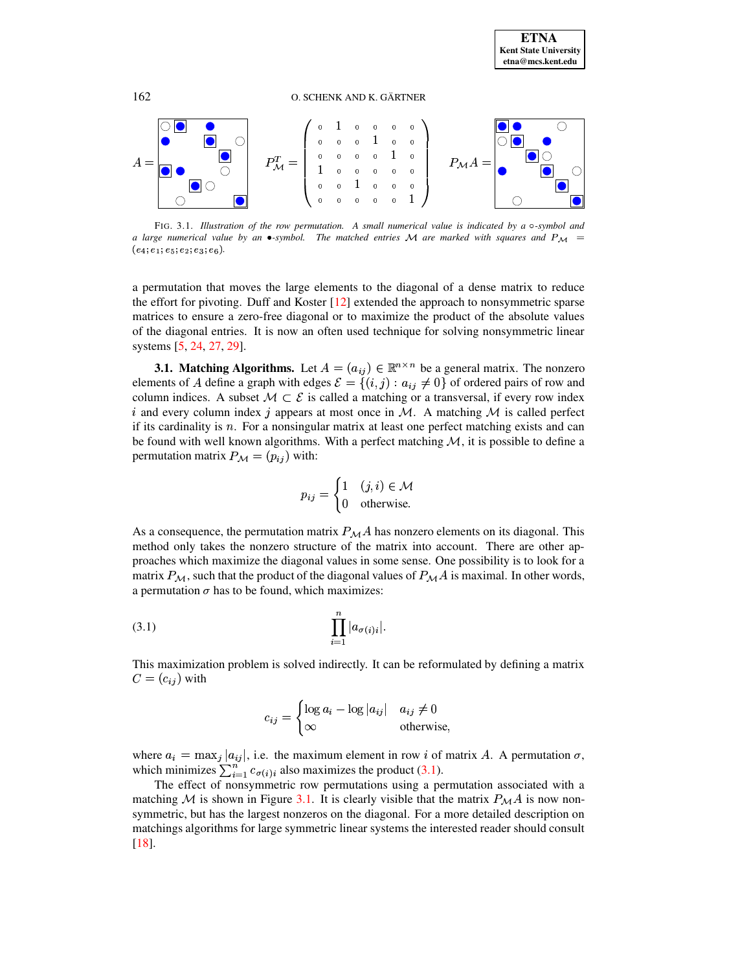

<span id="page-4-1"></span>*a large numerical* value by *an*  $\bullet$ -symbol. The matched entries M are marked with squares and  $P_M =$  $(e_4; e_1; e_5; e_2; e_3; e_6).$ 

a permutation that moves the large elements to the diagonal of a dense matrix to reduce the effort for pivoting. Duff and Koster [\[12\]](#page-20-7) extended the approach to nonsymmetric sparse matrices to ensure a zero-free diagonal or to maximize the product of the absolute values of the diagonal entries. It is now an often used technique for solving nonsymmetric linear systems [\[5,](#page-20-12) [24,](#page-21-1) [27,](#page-21-4) [29\]](#page-21-6).

**3.1. Matching Algorithms.** Let  $A = (a_{ij}) \in \mathbb{R}^{n \times n}$  be a general matrix. The nonzero elements of A define a graph with edges  $\mathcal{E} = \{(i,j) : a_{ij} \neq 0\}$  of ordered pairs of row and column indices. A subset  $M \subset \mathcal{E}$  is called a matching or a transversal, if every row index i and every column index j appears at most once in M. A matching M is called perfect if its cardinality is  $n$ . For a nonsingular matrix at least one perfect matching exists and can be found with well known algorithms. With a perfect matching  $M$ , it is possible to define a permutation matrix  $P_{\mathcal{M}} = (p_{ij})$  with:

<span id="page-4-0"></span>
$$
p_{ij} = \begin{cases} 1 & (j,i) \in \mathcal{M} \\ 0 & \text{otherwise.} \end{cases}
$$

As a consequence, the permutation matrix  $P_{\mathcal{M}}A$  has nonzero elements on its diagonal. This method only takes the nonzero structure of the matrix into account. There are other approaches which maximize the diagonal values in some sense. One possibility is to look for a matrix  $P_{\mathcal{M}}$ , such that the product of the diagonal values of  $P_{\mathcal{M}}A$  is maximal. In other words, a permutation  $\sigma$  has to be found, which maximizes:

$$
(3.1) \qquad \prod_{i=1}^n |a_{\sigma(i)i}|.
$$

This maximization problem is solved indirectly. It can be reformulated by defining a matrix  $C = (c_{ij})$  with

$$
c_{ij} = \begin{cases} \log a_i - \log |a_{ij}| & a_{ij} \neq 0\\ \infty & \text{otherwise,} \end{cases}
$$

where  $a_i = \max_j |a_{ij}|$ , i.e. the maximum element in row i of matrix A. A permutation  $\sigma$ , which minimizes  $\sum_{i=1}^{n} c_{\sigma(i)i}$  also maximizes the product [\(3.1\)](#page-4-0).

The effect of nonsymmetric row permutations using a permutation associated with a matching M is shown in Figure [3.1.](#page-4-1) It is clearly visible that the matrix  $P_{\mathcal{M}}A$  is now nonsymmetric, but has the largest nonzeros on the diagonal. For a more detailed description on matchings algorithms for large symmetric linear systems the interested reader should consult [\[18\]](#page-21-7).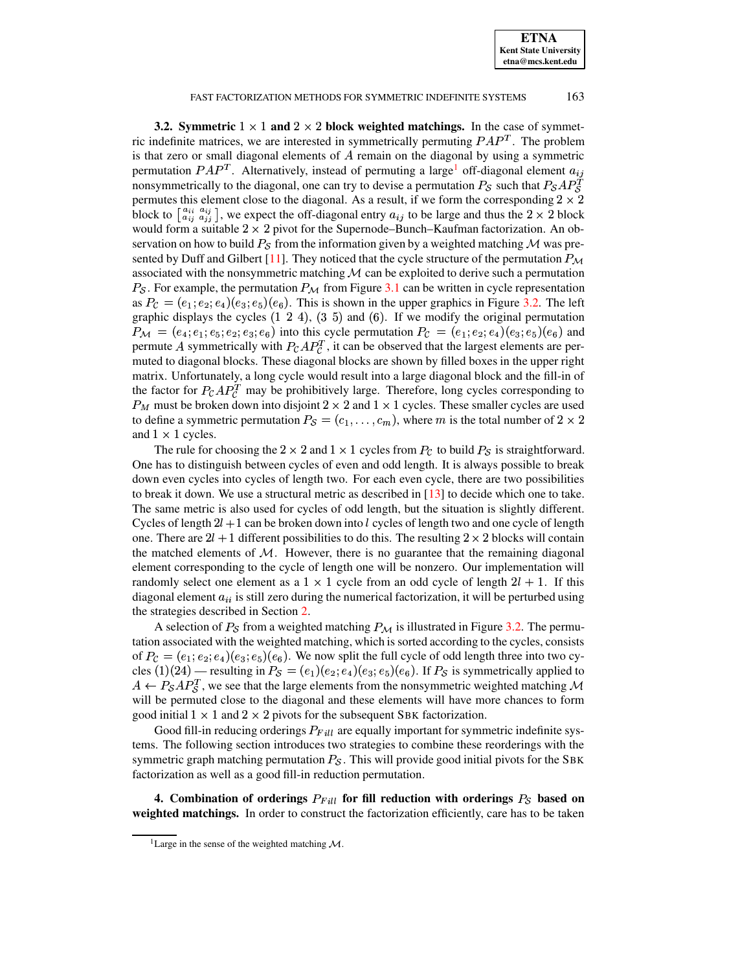**ETNA Kent State University etna@mcs.kent.edu**

#### FAST FACTORIZATION METHODS FOR SYMMETRIC INDEFINITE SYSTEMS 163

**3.2. Symmetric**  $1 \times 1$  and  $2 \times 2$  block weighted matchings. In the case of symmetric indefinite matrices, we are interested in symmetrically permuting  $PAP<sup>T</sup>$ . The problem is that zero or small diagonal elements of  $A$  remain on the diagonal by using a symmetric permutation  $PAP^T$ . Alternatively, instead of permuting a large<sup>[1](#page-5-1)</sup> off-diagonal element  $a_{ij}$ nonsymmetrically to the diagonal, one can try to devise a permutation  $P_{\mathcal{S}}$  such that  $P_{\mathcal{S}}AP_{\mathcal{S}}^T$ permutes this element close to the diagonal. As a result, if we form the corresponding  $2 \times 2$ block to  $\begin{bmatrix} a_{ij} & a_{ij} \\ a_{ij} & a_{jj} \end{bmatrix}$ , we expect the off-diagonal entry  $a_{ij}$  to be large and thus the 2  $\times$  2 block would form a suitable  $2\times2$  pivot for the Supernode–Bunch–Kaufman factorization. An observation on how to build  $P_{\mathcal{S}}$  from the information given by a weighted matching  ${\mathcal{M}}$  was pre-sented by Duff and Gilbert [\[11\]](#page-20-9). They noticed that the cycle structure of the permutation  $P_M$ associated with the nonsymmetric matching  $\mathcal M$  can be exploited to derive such a permutation  $P_{\mathcal{S}}$ . For example, the permutation  $P_{\mathcal{M}}$  from Figure [3.1](#page-4-1) can be written in cycle representation as  $P_{\mathcal{C}} = (e_1, e_2, e_4)(e_3, e_5)(e_6)$ . This is shown in the upper graphics in Figure [3.2.](#page-6-0) The left graphic displays the cycles  $(1\ 2\ 4)$ ,  $(3\ 5)$  and  $(6)$ . If we modify the original permutation  $P_M = (e_4; e_1; e_5; e_2; e_3; e_6)$  into this cycle permutation  $P_C = (e_1; e_2; e_4)(e_3; e_5)(e_6)$  and permute A symmetrically with  $P_{\mathcal{C}}AP_{\mathcal{C}}^T$ , it can be observed that the largest elements are permuted to diagonal blocks. These diagonal blocks are shown by filled boxes in the upper right matrix. Unfortunately, a long cycle would result into a large diagonal block and the fill-in of the factor for  $P_{\mathcal{C}}AP_{\mathcal{C}}^T$  may be prohibitively large. Therefore, long cycles corresponding to  $P_M$  must be broken down into disjoint 2  $\times$  2 and 1  $\times$  1 cycles. These smaller cycles are used to define a symmetric permutation  $P_{\mathcal{S}} = (c_1, \ldots, c_m)$ , where m is the total number of  $2 \times 2$ and  $1 \times 1$  cycles.

The rule for choosing the  $2 \times 2$  and  $1 \times 1$  cycles from  $P_c$  to build  $P_s$  is straightforward. One has to distinguish between cycles of even and odd length. It is always possible to break down even cycles into cycles of length two. For each even cycle, there are two possibilities to break it down. We use a structural metric as described in  $[13]$  to decide which one to take. The same metric is also used for cycles of odd length, but the situation is slightly different. Cycles of length  $2l + 1$  can be broken down into l cycles of length two and one cycle of length one. There are  $2l + 1$  different possibilities to do this. The resulting  $2 \times 2$  blocks will contain the matched elements of  $M$ . However, there is no guarantee that the remaining diagonal element corresponding to the cycle of length one will be nonzero. Our implementation will randomly select one element as a  $1 \times 1$  cycle from an odd cycle of length  $2l + 1$ . If this diagonal element  $a_{ii}$  is still zero during the numerical factorization, it will be perturbed using the strategies described in Section [2.](#page-2-0)

A selection of  $P_S$  from a weighted matching  $P_M$  is illustrated in Figure [3.2.](#page-6-0) The permutation associated with the weighted matching, which is sorted according to the cycles, consists of  $P_{\mathcal{C}} = (e_1, e_2, e_4)(e_3, e_5)(e_6)$ . We now split the full cycle of odd length three into two cycles (1)(24) — resulting in  $P_{\mathcal{S}} = (e_1)(e_2; e_4)(e_3; e_5)(e_6)$ . If  $P_{\mathcal{S}}$  is symmetrically applied to  $A \leftarrow P_{\mathcal{S}} A P_{\mathcal{S}}^T$ , we see that the large elements from the nonsymmetric weighted matching M will be permuted close to the diagonal and these elements will have more chances to form good initial  $1 \times 1$  and  $2 \times 2$  pivots for the subsequent SBK factorization.

Good fill-in reducing orderings  $P_{Fill}$  are equally important for symmetric indefinite systems. The following section introduces two strategies to combine these reorderings with the symmetric graph matching permutation  $P_{\mathcal{S}}$ . This will provide good initial pivots for the SBK factorization as well as a good fill-in reduction permutation.

<span id="page-5-0"></span>**4.** Combination of orderings  $P_{Fill}$  for fill reduction with orderings  $P_{\mathcal{S}}$  based on **weighted matchings.** In order to construct the factorization efficiently, care has to be taken

<span id="page-5-1"></span><sup>&</sup>lt;sup>1</sup>Large in the sense of the weighted matching  $M$ .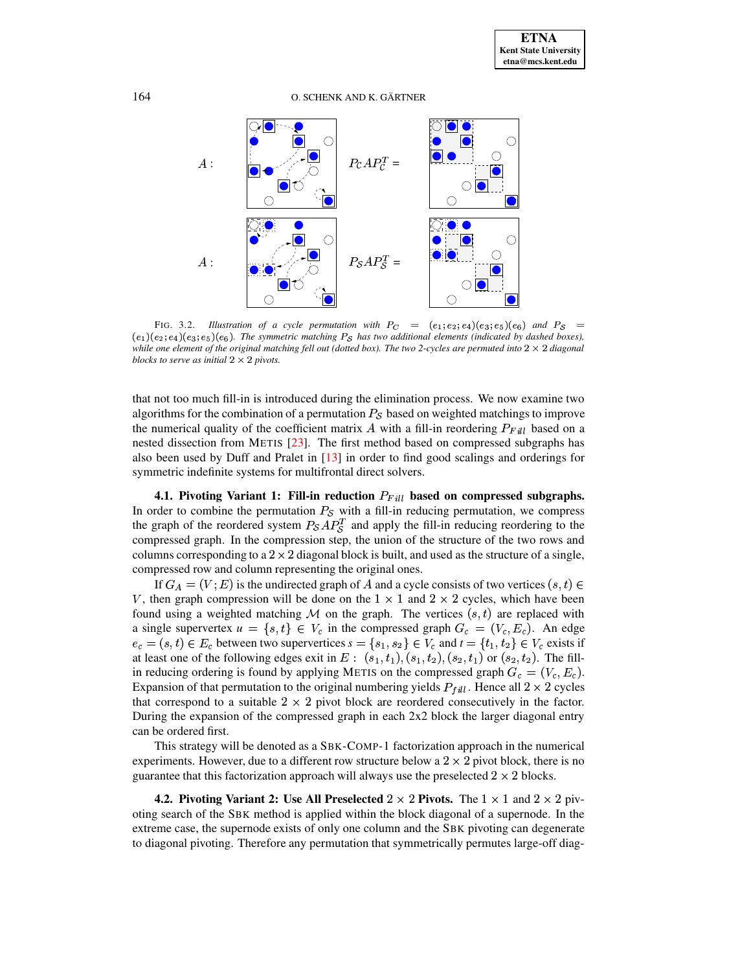

<span id="page-6-0"></span>FIG. 3.2. *Illustration of a cycle permutation with*  $P_C = (e_1; e_2; e_4)(e_3; e_5)(e_6)$  and  $P_S =$  $(e_1)(e_2; e_4)(e_3; e_5)(e_6)$ . The symmetric matching  $P_S$  has two additional elements (indicated by dashed boxes), while one element of the original matching fell out (dotted box). The two 2-cycles are permuted into  $2 \times 2$  diagonal *blocks to serve as initial*  $2 \times 2$  *pivots.* 

that not too much fill-in is introduced during the elimination process. We now examine two algorithms for the combination of a permutation  $P_{\mathcal{S}}$  based on weighted matchings to improve the numerical quality of the coefficient matrix A with a fill-in reordering  $P_{Fill}$  based on a nested dissection from METIS [\[23\]](#page-21-8). The first method based on compressed subgraphs has also been used by Duff and Pralet in [\[13\]](#page-20-8) in order to find good scalings and orderings for symmetric indefinite systems for multifrontal direct solvers.

**4.1. Pivoting Variant 1: Fill-in reduction**  $P_{Fill}$  based on compressed subgraphs. In order to combine the permutation  $P_{\mathcal{S}}$  with a fill-in reducing permutation, we compress the graph of the reordered system  $P_{\mathcal{S}}AP_{\mathcal{S}}^T$  and apply the fill-in reducing reordering to the compressed graph. In the compression step, the union of the structure of the two rows and columns corresponding to a  $2 \times 2$  diagonal block is built, and used as the structure of a single, compressed row and column representing the original ones.

If  $G_A = (V, E)$  is the undirected graph of A and a cycle consists of two vertices  $(s, t) \in$ V, then graph compression will be done on the  $1 \times 1$  and  $2 \times 2$  cycles, which have been found using a weighted matching M on the graph. The vertices  $(s, t)$  are replaced with a single supervertex  $u = \{s, t\} \in V_c$  in the compressed graph  $G_c = (V_c, E_c)$ . An edge  $e_c = (s, t) \in E_c$  between two supervertices  $s = \{s_1, s_2\} \in V_c$  and  $t = \{t_1, t_2\} \in V_c$  exists if at least one of the following edges exit in  $E: (s_1, t_1), (s_1, t_2), (s_2, t_1)$  or  $(s_2, t_2)$ . The fillin reducing ordering is found by applying METIS on the compressed graph  $G_c = (V_c, E_c)$ . Expansion of that permutation to the original numbering yields  $P_{full}$ . Hence all  $2 \times 2$  cycles that correspond to a suitable  $2 \times 2$  pivot block are reordered consecutively in the factor. During the expansion of the compressed graph in each 2x2 block the larger diagonal entry can be ordered first.

This strategy will be denoted as a SBK-COMP-1 factorization approach in the numerical experiments. However, due to a different row structure below a  $2 \times 2$  pivot block, there is no guarantee that this factorization approach will always use the preselected  $2 \times 2$  blocks.

**4.2. Pivoting Variant 2:** Use All Preselected  $2 \times 2$  Pivots. The  $1 \times 1$  and  $2 \times 2$  pivoting search of the SBK method is applied within the block diagonal of a supernode. In the extreme case, the supernode exists of only one column and the SBK pivoting can degenerate to diagonal pivoting. Therefore any permutation that symmetrically permutes large-off diag-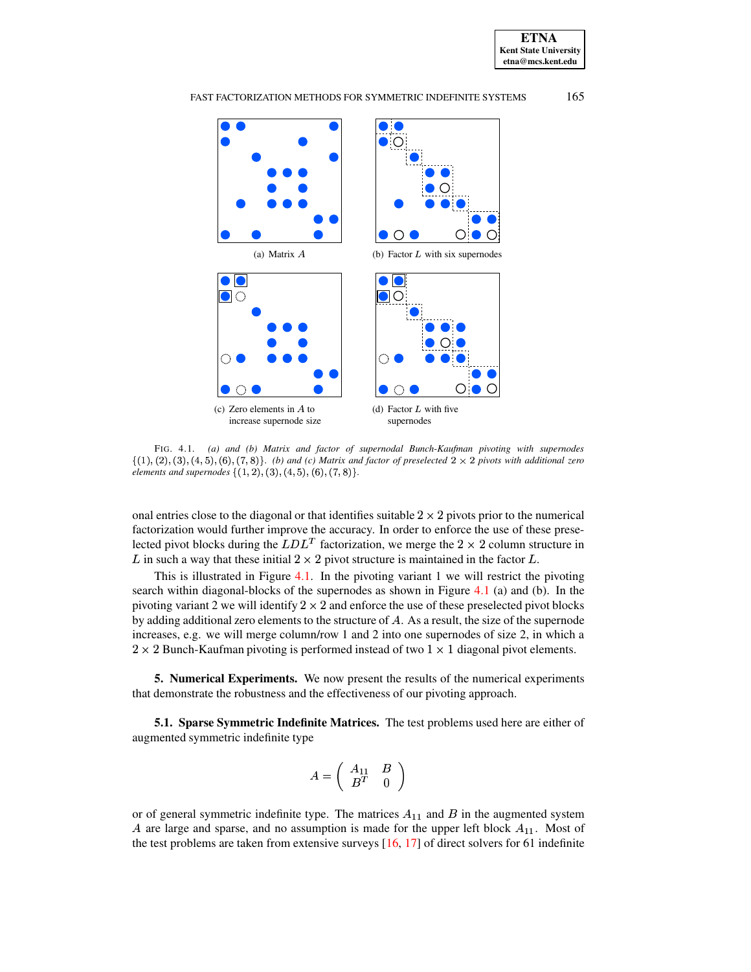





<span id="page-7-1"></span>FIG. 4.1. *(a) and (b) Matrix and factor of supernodal Bunch-Kaufman pivoting with supernodes*  $\{(1), (2), (3), (4, 5), (6), (7, 8)\}$ . *(b)* and *(c)* Matrix and factor of preselected  $2 \times 2$  pivots with additional zero *elements and supernodes*  $\{(1, 2), (3), (4, 5), (6), (7, 8)\}.$ 

onal entries close to the diagonal or that identifies suitable  $2 \times 2$  pivots prior to the numerical factorization would further improve the accuracy. In order to enforce the use of these preselected pivot blocks during the  $LDL<sup>T</sup>$  factorization, we merge the  $2 \times 2$  column structure in L in such a way that these initial  $2 \times 2$  pivot structure is maintained in the factor L.

This is illustrated in Figure [4.1.](#page-7-1) In the pivoting variant 1 we will restrict the pivoting search within diagonal-blocks of the supernodes as shown in Figure [4.1](#page-7-1) (a) and (b). In the pivoting variant 2 we will identify  $2 \times 2$  and enforce the use of these preselected pivot blocks by adding additional zero elements to the structure of  $A$ . As a result, the size of the supernode increases, e.g. we will merge column/row 1 and 2 into one supernodes of size 2, in which a  $2 \times 2$  Bunch-Kaufman pivoting is performed instead of two  $1 \times 1$  diagonal pivot elements.

<span id="page-7-0"></span>**5. Numerical Experiments.** We now present the results of the numerical experiments that demonstrate the robustness and the effectiveness of our pivoting approach.

**5.1. Sparse Symmetric Indefinite Matrices.** The test problems used here are either of augmented symmetric indefinite type

$$
A=\left(\begin{array}{cc} A_{11}&B \\ B^T&0\end{array}\right)
$$

or of general symmetric indefinite type. The matrices  $A_{11}$  and  $B$  in the augmented system A are large and sparse, and no assumption is made for the upper left block  $A_{11}$ . Most of the test problems are taken from extensive surveys  $[16, 17]$  $[16, 17]$  $[16, 17]$  of direct solvers for 61 indefinite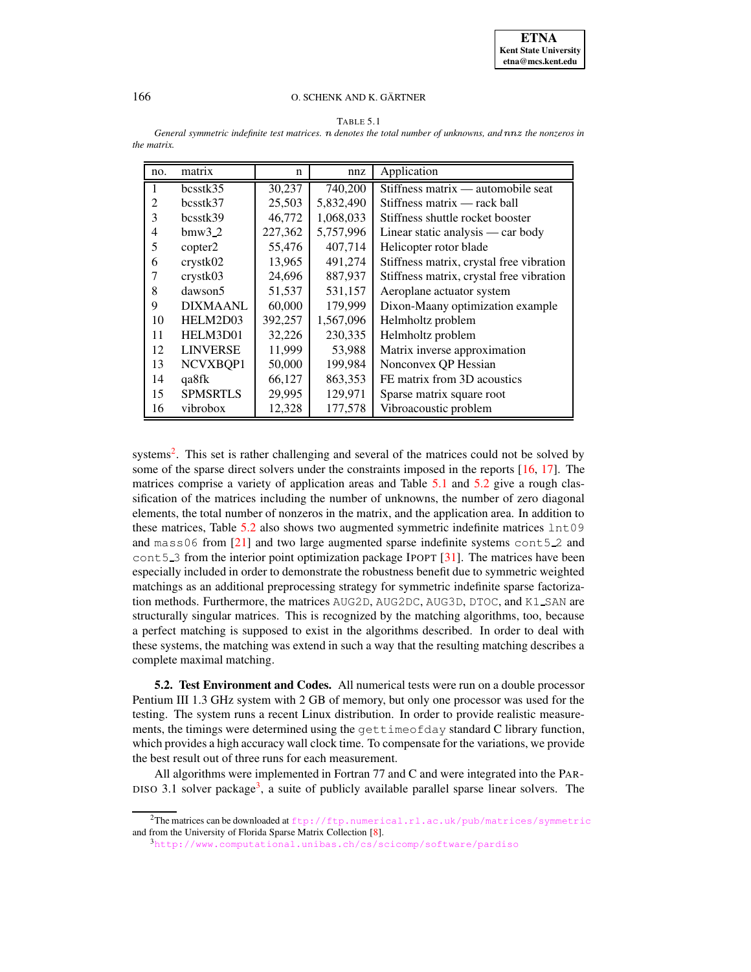| ۰, |  |  |
|----|--|--|
|----|--|--|

| no. | matrix          | n       | nnz       | Application                              |
|-----|-----------------|---------|-----------|------------------------------------------|
|     | bcsstk35        | 30,237  | 740,200   | Stiffness matrix — automobile seat       |
| 2   | bcsstk37        | 25,503  | 5,832,490 | Stiffness matrix — rack ball             |
| 3   | bcsstk39        | 46,772  | 1,068,033 | Stiffness shuttle rocket booster         |
| 4   | bmw3.2          | 227,362 | 5,757,996 | Linear static analysis — car body        |
| 5   | copter2         | 55,476  | 407,714   | Helicopter rotor blade                   |
| 6   | crystk02        | 13,965  | 491,274   | Stiffness matrix, crystal free vibration |
|     | crystk03        | 24,696  | 887,937   | Stiffness matrix, crystal free vibration |
| 8   | dawson5         | 51,537  | 531,157   | Aeroplane actuator system                |
| 9   | <b>DIXMAANL</b> | 60,000  | 179,999   | Dixon-Maany optimization example         |
| 10  | HELM2D03        | 392,257 | 1,567,096 | Helmholtz problem                        |
| 11  | HELM3D01        | 32,226  | 230,335   | Helmholtz problem                        |
| 12  | <b>LINVERSE</b> | 11,999  | 53,988    | Matrix inverse approximation             |
| 13  | NCVXBQP1        | 50,000  | 199,984   | Nonconvex QP Hessian                     |
| 14  | qa8fk           | 66,127  | 863,353   | FE matrix from 3D acoustics              |
| 15  | <b>SPMSRTLS</b> | 29,995  | 129,971   | Sparse matrix square root                |
| 16  | vibrobox        | 12,328  | 177,578   | Vibroacoustic problem                    |

<span id="page-8-1"></span> $General$  *symmetric indefinite test matrices. n denotes the total number of unknowns, and nnz the nonzeros in the matrix.*

systems<sup>[2](#page-8-0)</sup>. This set is rather challenging and several of the matrices could not be solved by some of the sparse direct solvers under the constraints imposed in the reports [\[16,](#page-20-0) [17\]](#page-21-9). The matrices comprise a variety of application areas and Table [5.1](#page-8-1) and [5.2](#page-10-0) give a rough classification of the matrices including the number of unknowns, the number of zero diagonal elements, the total number of nonzeros in the matrix, and the application area. In addition to these matrices, Table  $5.2$  also shows two augmented symmetric indefinite matrices  $1nt09$ and mass06 from [\[21\]](#page-21-10) and two large augmented sparse indefinite systems cont5 2 and cont 5.3 from the interior point optimization package IPOPT  $[31]$ . The matrices have been especially included in order to demonstrate the robustness benefit due to symmetric weighted matchings as an additional preprocessing strategy for symmetric indefinite sparse factorization methods. Furthermore, the matrices AUG2D, AUG2DC, AUG3D, DTOC, and K1 SAN are structurally singular matrices. This is recognized by the matching algorithms, too, because a perfect matching is supposed to exist in the algorithms described. In order to deal with these systems, the matching was extend in such a way that the resulting matching describes a complete maximal matching.

<span id="page-8-3"></span>**5.2. Test Environment and Codes.** All numerical tests were run on a double processor Pentium III 1.3 GHz system with 2 GB of memory, but only one processor was used for the testing. The system runs a recent Linux distribution. In order to provide realistic measurements, the timings were determined using the gettimeofday standard C library function, which provides a high accuracy wall clock time. To compensate for the variations, we provide the best result out of three runs for each measurement.

All algorithms were implemented in Fortran 77 and C and were integrated into the PAR-DISO [3](#page-8-2).1 solver package<sup>3</sup>, a suite of publicly available parallel sparse linear solvers. The

<span id="page-8-2"></span><span id="page-8-0"></span><sup>&</sup>lt;sup>2</sup>The matrices can be downloaded at <ftp://ftp.numerical.rl.ac.uk/pub/matrices/symmetric> and from the University of Florida Sparse Matrix Collection [\[8\]](#page-20-13).

<sup>3</sup><http://www.computational.unibas.ch/cs/scicomp/software/pardiso>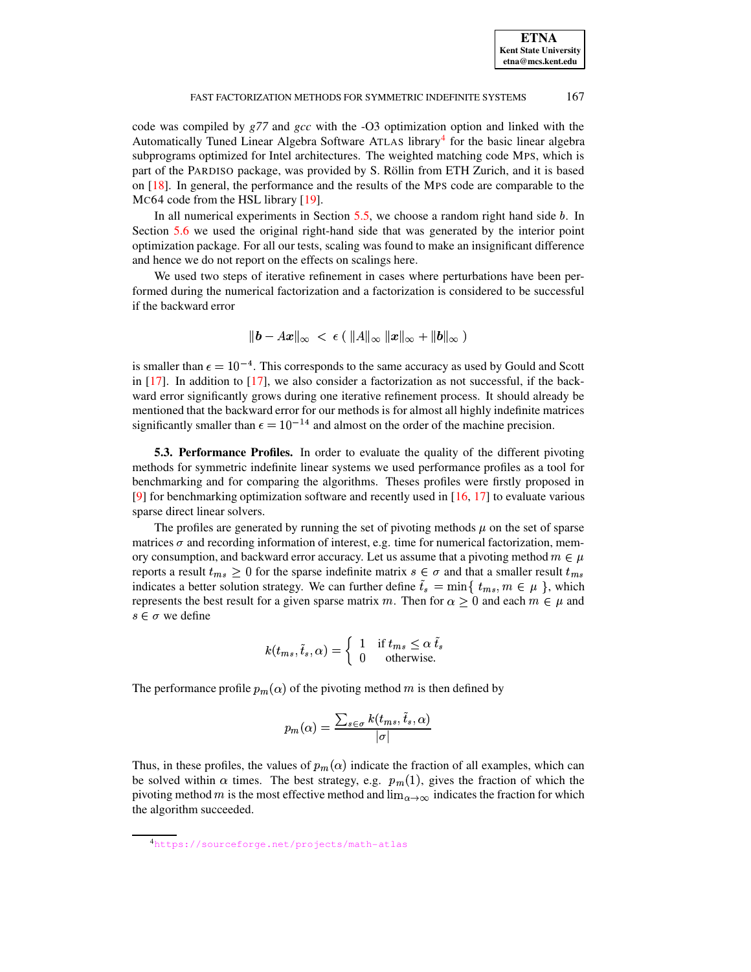code was compiled by *g77* and *gcc* with the -O3 optimization option and linked with the Automatically Tuned Linear Algebra Software ATLAS library<sup>[4](#page-9-0)</sup> for the basic linear algebra subprograms optimized for Intel architectures. The weighted matching code MPS, which is part of the PARDISO package, was provided by S. Röllin from ETH Zurich, and it is based on [\[18\]](#page-21-7). In general, the performance and the results of the MPS code are comparable to the MC64 code from the HSL library [\[19\]](#page-21-12).

In all numerical experiments in Section  $5.5$ , we choose a random right hand side b. In Section [5.6](#page-16-0) we used the original right-hand side that was generated by the interior point optimization package. For all our tests, scaling was found to make an insignificant difference and hence we do not report on the effects on scalings here.

We used two steps of iterative refinement in cases where perturbations have been performed during the numerical factorization and a factorization is considered to be successful if the backward error

$$
\|\bm{b} - A\bm{x}\|_{\infty} \; < \; \epsilon \; (\; \|A\|_{\infty} \; \| \bm{x} \|_{\infty} + \| \bm{b} \|_{\infty} \; )
$$

is smaller than  $\epsilon = 10^{-4}$ . This corresponds to the same accuracy as used by Gould and Scott in  $[17]$ . In addition to  $[17]$ , we also consider a factorization as not successful, if the backward error significantly grows during one iterative refinement process. It should already be mentioned that the backward error for our methods is for almost all highly indefinite matrices significantly smaller than  $\epsilon = 10^{-14}$  and almost on the order of the machine precision.

**5.3. Performance Profiles.** In order to evaluate the quality of the different pivoting methods for symmetric indefinite linear systems we used performance profiles as a tool for benchmarking and for comparing the algorithms. Theses profiles were firstly proposed in [\[9\]](#page-20-14) for benchmarking optimization software and recently used in [\[16,](#page-20-0) [17\]](#page-21-9) to evaluate various sparse direct linear solvers.

The profiles are generated by running the set of pivoting methods  $\mu$  on the set of sparse matrices  $\sigma$  and recording information of interest, e.g. time for numerical factorization, memory consumption, and backward error accuracy. Let us assume that a pivoting method  $m \in \mu$ reports a result  $t_{ms} \geq 0$  for the sparse indefinite matrix  $s \in \sigma$  and that a smaller result  $t_{ms}$ indicates a better solution strategy. We can further define  $\tilde{t}_s = \min\{t_{ms}, m \in \mu\}$ , which represents the best result for a given sparse matrix m. Then for  $\alpha \geq 0$  and each  $m \in \mu$  and  $s \in \sigma$  we define

$$
k(t_{ms}, \tilde{t}_s, \alpha) = \begin{cases} 1 & \text{if } t_{ms} \le \alpha \ \tilde{t}_s \\ 0 & \text{otherwise.} \end{cases}
$$

The performance profile  $p_m(\alpha)$  of the pivoting method m is then defined by

$$
p_m(\alpha) = \frac{\sum_{s \in \sigma} k(t_{ms}, \tilde{t}_s, \alpha)}{|\sigma|}
$$

Thus, in these profiles, the values of  $p_m(\alpha)$  indicate the fraction of all examples, which can be solved within  $\alpha$  times. The best strategy, e.g.  $p_m(1)$ , gives the fraction of which the be solved within  $\alpha$  times. The best strategy, e.g.  $p_m(1)$ , gives the fraction of which the pivoting method m is the most effective method and  $\lim_{\alpha \to \infty}$  indicates the fraction for which the algorithm succeeded.

<span id="page-9-0"></span><sup>4</sup><https://sourceforge.net/projects/math-atlas>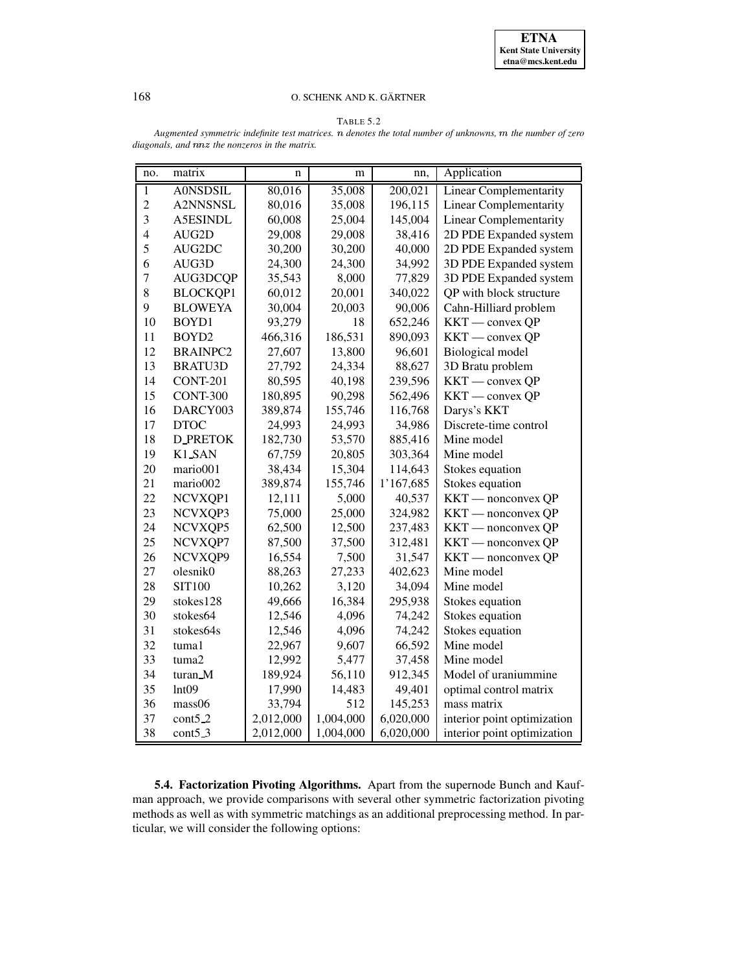# TABLE 5.2

<span id="page-10-0"></span>*Augmented symmetric indefinite test matrices.* <sup>&</sup>gt; *denotes the total number of unknowns,* <sup>O</sup> *the number of zero*  $diagonals$ , and  $nnz$  the nonzeros in the matrix.

| no.                      | matrix              | n         | m         | nn,       | Application                   |  |
|--------------------------|---------------------|-----------|-----------|-----------|-------------------------------|--|
| $\mathbf{1}$             | <b>A0NSDSIL</b>     | 80,016    | 35,008    | 200,021   | <b>Linear Complementarity</b> |  |
| $\overline{c}$           | A2NNSNSL            | 80,016    | 35,008    | 196,115   | <b>Linear Complementarity</b> |  |
| $\overline{3}$           | A5ESINDL            | 60,008    | 25,004    | 145,004   | <b>Linear Complementarity</b> |  |
| $\overline{\mathcal{L}}$ | AUG2D               | 29,008    | 29,008    | 38,416    | 2D PDE Expanded system        |  |
| 5                        | AUG2DC              | 30,200    | 30,200    | 40,000    | 2D PDE Expanded system        |  |
| 6                        | AUG3D               | 24,300    | 24,300    | 34,992    | 3D PDE Expanded system        |  |
| $\overline{7}$           | AUG3DCQP            | 35,543    | 8,000     | 77,829    | 3D PDE Expanded system        |  |
| 8                        | <b>BLOCKQP1</b>     | 60,012    | 20,001    | 340,022   | QP with block structure       |  |
| 9                        | <b>BLOWEYA</b>      | 30,004    | 20,003    | 90,006    | Cahn-Hilliard problem         |  |
| 10                       | BOYD1               | 93,279    | 18        | 652,246   | KKT — convex QP               |  |
| 11                       | BOYD2               | 466,316   | 186,531   | 890,093   | KKT — convex QP               |  |
| 12                       | <b>BRAINPC2</b>     | 27,607    | 13,800    | 96,601    | Biological model              |  |
| 13                       | <b>BRATU3D</b>      | 27,792    | 24,334    | 88,627    | 3D Bratu problem              |  |
| 14                       | <b>CONT-201</b>     | 80,595    | 40,198    | 239,596   | KKT — convex QP               |  |
| 15                       | <b>CONT-300</b>     | 180,895   | 90,298    | 562,496   | KKT — convex QP               |  |
| 16                       | DARCY003            | 389,874   | 155,746   | 116,768   | Darys's KKT                   |  |
| 17                       | <b>DTOC</b>         | 24,993    | 24,993    | 34,986    | Discrete-time control         |  |
| 18                       | <b>D_PRETOK</b>     | 182,730   | 53,570    | 885,416   | Mine model                    |  |
| 19                       | K1_SAN              | 67,759    | 20,805    | 303,364   | Mine model                    |  |
| 20                       | mario001            | 38,434    | 15,304    | 114,643   | Stokes equation               |  |
| 21                       | mario002            | 389,874   | 155,746   | 1'167,685 | Stokes equation               |  |
| 22                       | NCVXQP1             | 12,111    | 5,000     | 40,537    | KKT — nonconvex QP            |  |
| 23                       | NCVXQP3             | 75,000    | 25,000    | 324,982   | KKT — nonconvex QP            |  |
| 24                       | NCVXQP5             | 62,500    | 12,500    | 237,483   | KKT — nonconvex QP            |  |
| 25                       | NCVXQP7             | 87,500    | 37,500    | 312,481   | KKT - nonconvex QP            |  |
| 26                       | NCVXQP9             | 16,554    | 7,500     | 31,547    | KKT — nonconvex QP            |  |
| 27                       | olesnik0            | 88,263    | 27,233    | 402,623   | Mine model                    |  |
| 28                       | <b>SIT100</b>       | 10,262    | 3,120     | 34,094    | Mine model                    |  |
| 29                       | stokes128           | 49,666    | 16,384    | 295,938   | Stokes equation               |  |
| 30                       | stokes64            | 12,546    | 4,096     | 74,242    | Stokes equation               |  |
| 31                       | stokes64s           | 12,546    | 4,096     | 74,242    | Stokes equation               |  |
| 32                       | tuma1               | 22,967    | 9,607     | 66,592    | Mine model                    |  |
| 33                       | tuma2               | 12,992    | 5,477     | 37,458    | Mine model                    |  |
| 34                       | turan_M             | 189,924   | 56,110    | 912,345   | Model of uraniummine          |  |
| 35                       | Int09               | 17,990    | 14,483    | 49,401    | optimal control matrix        |  |
| 36                       | mass06              | 33,794    | 512       | 145,253   | mass matrix                   |  |
| 37                       | cont <sub>5.2</sub> | 2,012,000 | 1,004,000 | 6,020,000 | interior point optimization   |  |
| 38                       | $cont5_3$           | 2,012,000 | 1,004,000 | 6,020,000 | interior point optimization   |  |

**5.4. Factorization Pivoting Algorithms.** Apart from the supernode Bunch and Kaufman approach, we provide comparisons with several other symmetric factorization pivoting methods as well as with symmetric matchings as an additional preprocessing method. In particular, we will consider the following options: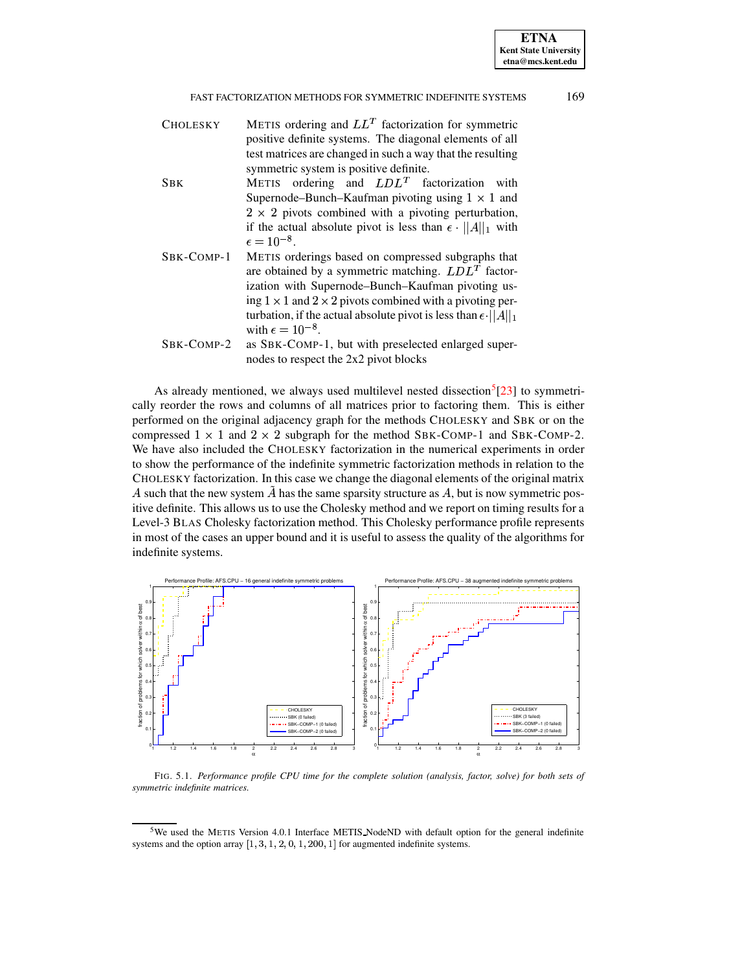| <b>CHOLESKY</b> | METIS ordering and $LL^T$ factorization for symmetric                     |  |  |  |  |  |
|-----------------|---------------------------------------------------------------------------|--|--|--|--|--|
|                 | positive definite systems. The diagonal elements of all                   |  |  |  |  |  |
|                 | test matrices are changed in such a way that the resulting                |  |  |  |  |  |
|                 | symmetric system is positive definite.                                    |  |  |  |  |  |
| <b>SBK</b>      | METIS ordering and $LDLT$ factorization with                              |  |  |  |  |  |
|                 | Supernode–Bunch–Kaufman pivoting using $1 \times 1$ and                   |  |  |  |  |  |
|                 | $2 \times 2$ pivots combined with a pivoting perturbation,                |  |  |  |  |  |
|                 | if the actual absolute pivot is less than $\epsilon \cdot   A  _1$ with   |  |  |  |  |  |
|                 | $\epsilon = 10^{-8}$ .                                                    |  |  |  |  |  |
| SBK-COMP-1      | METIS orderings based on compressed subgraphs that                        |  |  |  |  |  |
|                 | are obtained by a symmetric matching. $LDLT$ factor-                      |  |  |  |  |  |
|                 | ization with Supernode-Bunch-Kaufman pivoting us-                         |  |  |  |  |  |
|                 | ing $1 \times 1$ and $2 \times 2$ pivots combined with a pivoting per-    |  |  |  |  |  |
|                 | turbation, if the actual absolute pivot is less than $\epsilon$ $  A  _1$ |  |  |  |  |  |
|                 | with $\epsilon = 10^{-8}$ .                                               |  |  |  |  |  |
| SBK-COMP-2      | as SBK-COMP-1, but with preselected enlarged super-                       |  |  |  |  |  |
|                 | nodes to respect the 2x2 pivot blocks                                     |  |  |  |  |  |

As already mentioned, we always used multilevel nested dissection<sup>[5](#page-11-0)</sup> $[23]$  to symmetrically reorder the rows and columns of all matrices prior to factoring them. This is either performed on the original adjacency graph for the methods CHOLESKY and SBK or on the compressed  $1 \times 1$  and  $2 \times 2$  subgraph for the method SBK-COMP-1 and SBK-COMP-2. We have also included the CHOLESKY factorization in the numerical experiments in order to show the performance of the indefinite symmetric factorization methods in relation to the CHOLESKY factorization. In this case we change the diagonal elements of the original matrix A such that the new system  $\tilde{A}$  has the same sparsity structure as A, but is now symmetric positive definite. This allows us to use the Cholesky method and we report on timing results for a Level-3 BLAS Cholesky factorization method. This Cholesky performance profile represents in most of the cases an upper bound and it is useful to assess the quality of the algorithms for indefinite systems.



<span id="page-11-1"></span>FIG. 5.1. *Performance profile CPU time for the complete solution (analysis, factor, solve) for both sets of symmetric indefinite matrices.*

<span id="page-11-0"></span><sup>&</sup>lt;sup>5</sup>We used the METIS Version 4.0.1 Interface METIS NodeND with default option for the general indefinite systems and the option array  $[1, 3, 1, 2, 0, 1, 200, 1]$  for augmented indefinite systems.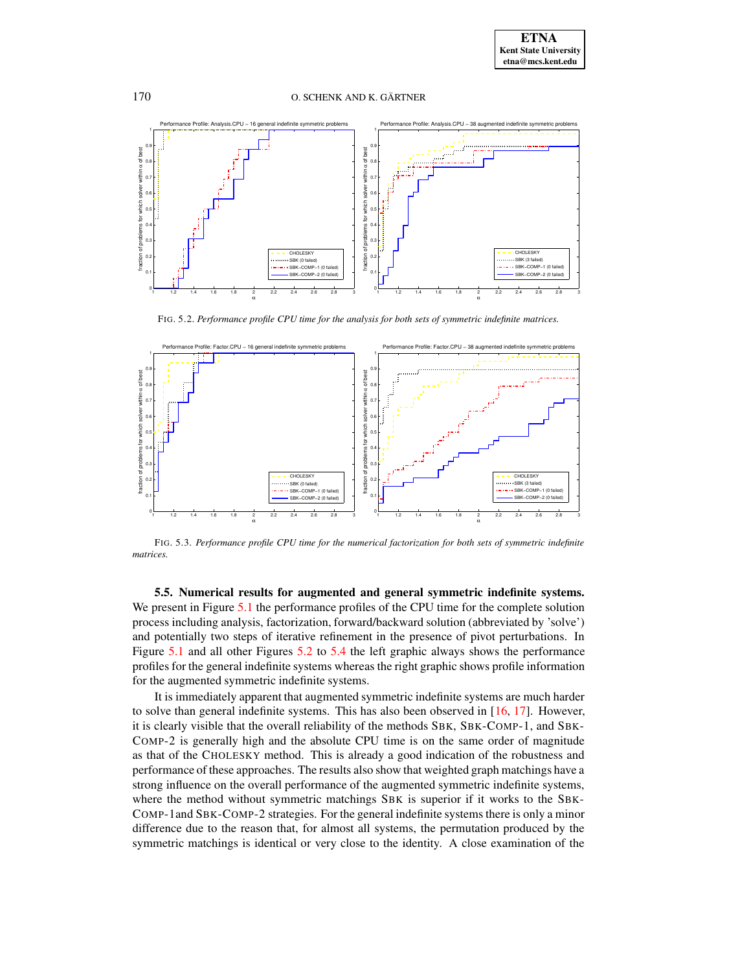

FIG. 5.2. *Performance profile CPU time for the analysis for both sets of symmetric indefinite matrices.*

<span id="page-12-1"></span>

<span id="page-12-2"></span>FIG. 5.3. *Performance profile CPU time for the numerical factorization for both sets of symmetric indefinite matrices.*

<span id="page-12-0"></span>**5.5. Numerical results for augmented and general symmetric indefinite systems.** We present in Figure [5.1](#page-11-1) the performance profiles of the CPU time for the complete solution process including analysis, factorization, forward/backward solution (abbreviated by 'solve') and potentially two steps of iterative refinement in the presence of pivot perturbations. In Figure [5.1](#page-11-1) and all other Figures [5.2](#page-12-1) to [5.4](#page-13-0) the left graphic always shows the performance profiles for the general indefinite systems whereas the right graphic shows profile information for the augmented symmetric indefinite systems.

It is immediately apparent that augmented symmetric indefinite systems are much harder to solve than general indefinite systems. This has also been observed in [\[16,](#page-20-0) [17\]](#page-21-9). However, it is clearly visible that the overall reliability of the methods SBK, SBK-COMP-1, and SBK-COMP-2 is generally high and the absolute CPU time is on the same order of magnitude as that of the CHOLESKY method. This is already a good indication of the robustness and performance of these approaches. The results also show that weighted graph matchings have a strong influence on the overall performance of the augmented symmetric indefinite systems, where the method without symmetric matchings SBK is superior if it works to the SBK-COMP-1and SBK-COMP-2 strategies. For the general indefinite systems there is only a minor difference due to the reason that, for almost all systems, the permutation produced by the symmetric matchings is identical or very close to the identity. A close examination of the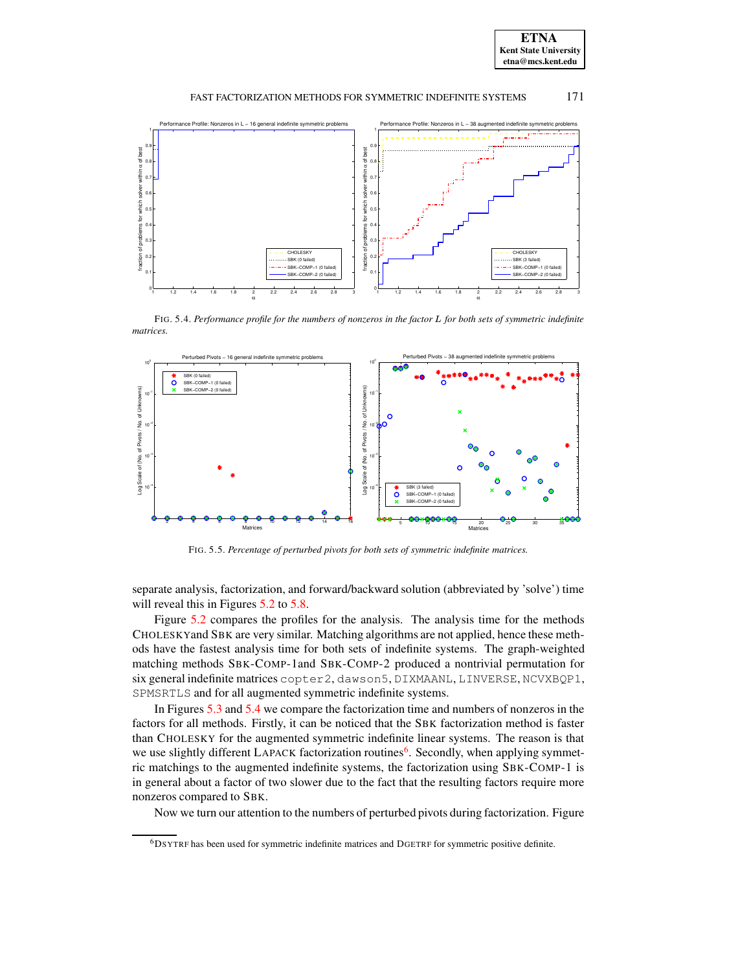



FIG. 5.4. *Performance profile for the numbers of nonzeros in the factor* <sup>V</sup> *for both sets of symmetric indefinite matrices.*

<span id="page-13-0"></span>

FIG. 5.5. *Percentage of perturbed pivots for both sets of symmetric indefinite matrices.*

<span id="page-13-2"></span>separate analysis, factorization, and forward/backward solution (abbreviated by 'solve') time will reveal this in Figures [5.2](#page-12-1) to [5.8.](#page-15-0)

Figure [5.2](#page-12-1) compares the profiles for the analysis. The analysis time for the methods CHOLESKYand SBK are very similar. Matching algorithms are not applied, hence these methods have the fastest analysis time for both sets of indefinite systems. The graph-weighted matching methods SBK-COMP-1and SBK-COMP-2 produced a nontrivial permutation for six general indefinite matrices copter2, dawson5, DIXMAANL, LINVERSE, NCVXBQP1, SPMSRTLS and for all augmented symmetric indefinite systems.

In Figures [5.3](#page-12-2) and [5.4](#page-13-0) we compare the factorization time and numbers of nonzeros in the factors for all methods. Firstly, it can be noticed that the SBK factorization method is faster than CHOLESKY for the augmented symmetric indefinite linear systems. The reason is that we use slightly different LAPACK factorization routines<sup>[6](#page-13-1)</sup>. Secondly, when applying symmetric matchings to the augmented indefinite systems, the factorization using SBK-COMP-1 is in general about a factor of two slower due to the fact that the resulting factors require more nonzeros compared to SBK.

Now we turn our attention to the numbers of perturbed pivots during factorization. Figure

<span id="page-13-1"></span><sup>6</sup>DSYTRF has been used for symmetric indefinite matrices and DGETRF for symmetric positive definite.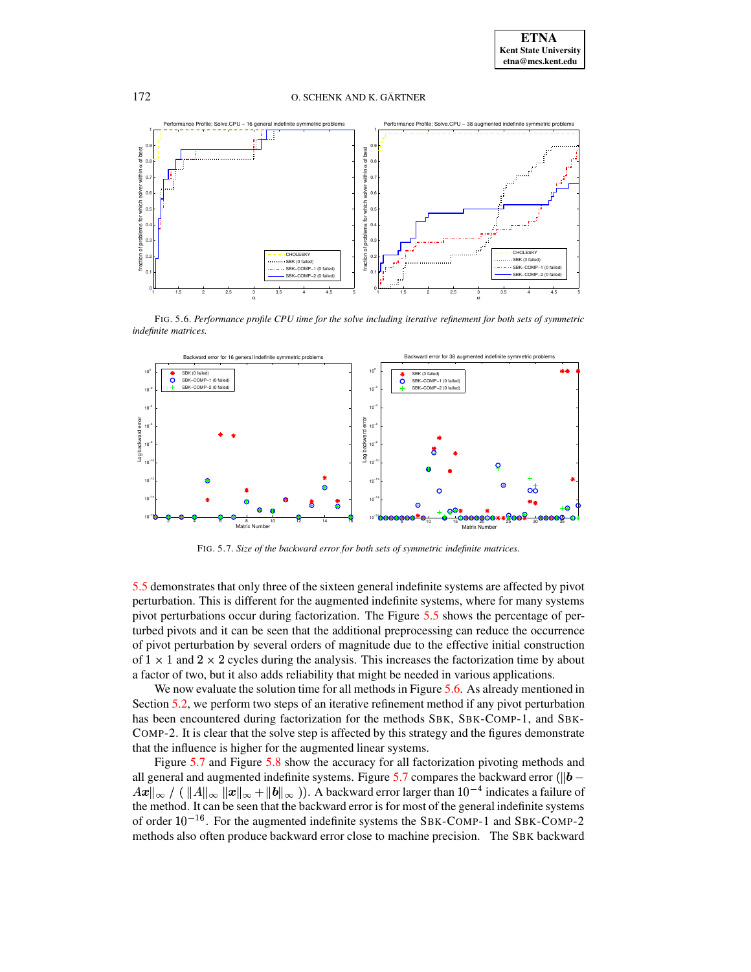

FIG. 5.6. *Performance profile CPU time for the solve including iterative refinement for both sets of symmetric indefinite matrices.*

<span id="page-14-0"></span>

FIG. 5.7. *Size of the backward error for both sets of symmetric indefinite matrices.*

<span id="page-14-1"></span>[5.5](#page-13-2) demonstrates that only three of the sixteen general indefinite systems are affected by pivot perturbation. This is different for the augmented indefinite systems, where for many systems pivot perturbations occur during factorization. The Figure [5.5](#page-13-2) shows the percentage of perturbed pivots and it can be seen that the additional preprocessing can reduce the occurrence of pivot perturbation by several orders of magnitude due to the effective initial construction of  $1 \times 1$  and  $2 \times 2$  cycles during the analysis. This increases the factorization time by about a factor of two, but it also adds reliability that might be needed in various applications.

We now evaluate the solution time for all methods in Figure [5.6.](#page-14-0) As already mentioned in Section [5.2,](#page-8-3) we perform two steps of an iterative refinement method if any pivot perturbation has been encountered during factorization for the methods SBK, SBK-COMP-1, and SBK-COMP-2. It is clear that the solve step is affected by this strategy and the figures demonstrate that the influence is higher for the augmented linear systems.

Figure [5.7](#page-14-1) and Figure [5.8](#page-15-0) show the accuracy for all factorization pivoting methods and all general and augmented indefinite systems. Figure [5.7](#page-14-1) compares the backward error ( $||\boldsymbol{b} \|Ax\|_\infty$  / (  $\|A\|_\infty$   $\|x\|_\infty + \|b\|_\infty$  )). A backward error larger than  $10^{-4}$  indicates a failure of the method. It can be seen that the backward error is for most of the general indefinite systems of order  $10^{-16}$ . For the augmented indefinite systems the SBK-COMP-1 and SBK-COMP-2 methods also often produce backward error close to machine precision. The SBK backward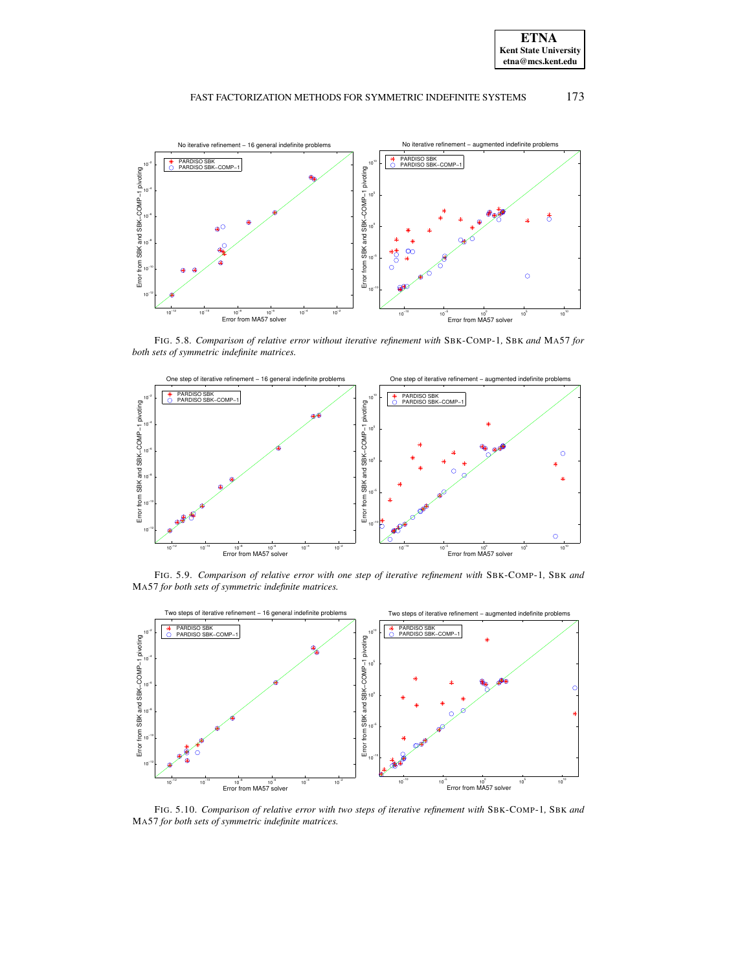



FIG. 5.8. *Comparison of relative error without iterative refinement with* SBK-COMP-1*,* SBK *and* MA57 *for both sets of symmetric indefinite matrices.*

<span id="page-15-0"></span>

FIG. 5.9. *Comparison of relative error with one step of iterative refinement with* SBK-COMP-1*,* SBK *and* MA57 *for both sets of symmetric indefinite matrices.*



FIG. 5.10. *Comparison of relative error with two steps of iterative refinement with* SBK-COMP-1*,* SBK *and* MA57 *for both sets of symmetric indefinite matrices.*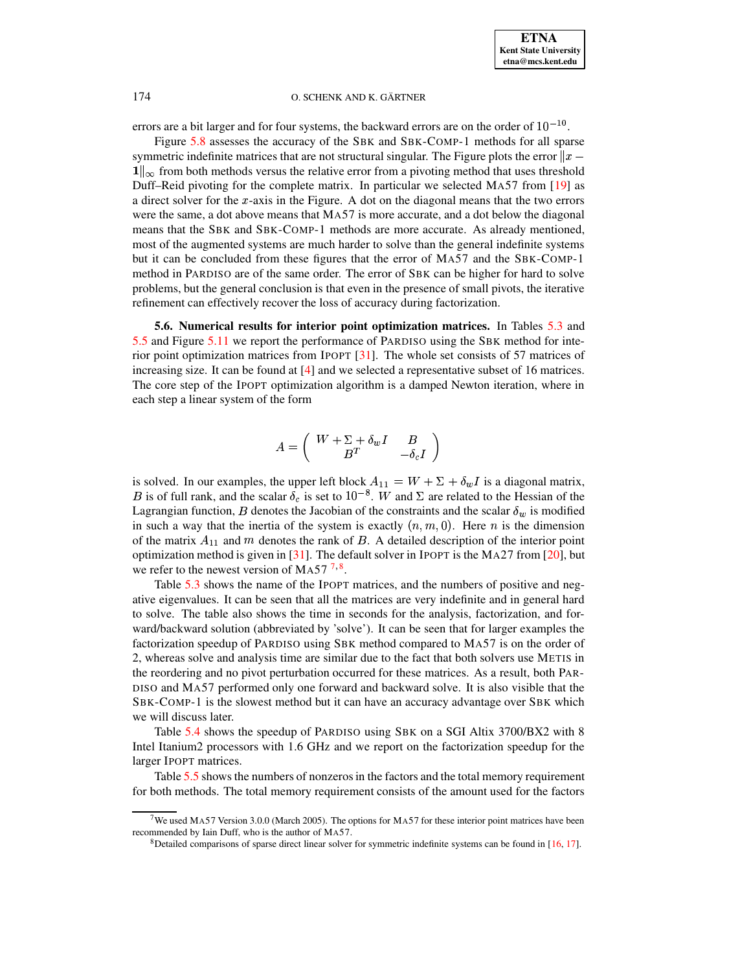errors are a bit larger and for four systems, the backward errors are on the order of  $10^{-10}$ .

Figure [5.8](#page-15-0) assesses the accuracy of the SBK and SBK-COMP-1 methods for all sparse symmetric indefinite matrices that are not structural singular. The Figure plots the error  $||x 1\parallel_{\infty}$  from both methods versus the relative error from a pivoting method that uses threshold Duff–Reid pivoting for the complete matrix. In particular we selected MA57 from [\[19\]](#page-21-12) as a direct solver for the x-axis in the Figure. A dot on the diagonal means that the two errors a direct solver for the  $x$ -axis in the Figure. A dot on the diagonal means that the two errors were the same, a dot above means that MA57 is more accurate, and a dot below the diagonal means that the SBK and SBK-COMP-1 methods are more accurate. As already mentioned, most of the augmented systems are much harder to solve than the general indefinite systems but it can be concluded from these figures that the error of MA57 and the SBK-COMP-1 method in PARDISO are of the same order. The error of SBK can be higher for hard to solve problems, but the general conclusion is that even in the presence of small pivots, the iterative refinement can effectively recover the loss of accuracy during factorization.

<span id="page-16-0"></span>**5.6. Numerical results for interior point optimization matrices.** In Tables [5.3](#page-17-0) and [5.5](#page-18-1) and Figure [5.11](#page-19-0) we report the performance of PARDISO using the SBK method for interior point optimization matrices from IPOPT [\[31\]](#page-21-11). The whole set consists of 57 matrices of increasing size. It can be found at [\[4\]](#page-20-15) and we selected a representative subset of 16 matrices. The core step of the IPOPT optimization algorithm is a damped Newton iteration, where in each step a linear system of the form

$$
A=\left(\begin{array}{cc} W+\Sigma+\delta_w I & B \\ B^T & -\delta_c I \end{array}\right)
$$

is solved. In our examples, the upper left block  $A_{11} = W + \Sigma + \delta_w I$  is a diagonal matrix, B set to the examples, the upper functions  $H_1$  is  $W_1 \subseteq W_2$  in the uniquent matrix,  $B$  is of full rank, and the scalar  $\delta_c$  is set to  $10^{-8}$ . W and  $\Sigma$  are related to the Hessian of the Lagrangian function, B denotes the Jacobian of the constraints and the scalar  $\delta_w$  is modified in such a way that the inertia of the system is exactly  $(n, m, 0)$ . Here n is the dimension of the matrix  $A_{11}$  and m denotes the rank of B. A detailed description of the interior point optimization method is given in [\[31\]](#page-21-11). The default solver in IPOPT is the MA27 from [\[20\]](#page-21-13), but we refer to the newest version of MA5[7](#page-16-1) $7,$ <sup>[8](#page-16-2)</sup>.

Table [5.3](#page-17-0) shows the name of the IPOPT matrices, and the numbers of positive and negative eigenvalues. It can be seen that all the matrices are very indefinite and in general hard to solve. The table also shows the time in seconds for the analysis, factorization, and forward/backward solution (abbreviated by 'solve'). It can be seen that for larger examples the factorization speedup of PARDISO using SBK method compared to MA57 is on the order of 2, whereas solve and analysis time are similar due to the fact that both solvers use METIS in the reordering and no pivot perturbation occurred for these matrices. As a result, both PAR-DISO and MA57 performed only one forward and backward solve. It is also visible that the SBK-COMP-1 is the slowest method but it can have an accuracy advantage over SBK which we will discuss later.

Table [5.4](#page-17-1) shows the speedup of PARDISO using SBK on a SGI Altix 3700/BX2 with 8 Intel Itanium2 processors with 1.6 GHz and we report on the factorization speedup for the larger IPOPT matrices.

Table [5.5](#page-18-1) shows the numbers of nonzeros in the factors and the total memory requirement for both methods. The total memory requirement consists of the amount used for the factors

<span id="page-16-2"></span><span id="page-16-1"></span><sup>&</sup>lt;sup>7</sup>We used MA57 Version 3.0.0 (March 2005). The options for MA57 for these interior point matrices have been recommended by Iain Duff, who is the author of MA57.

<sup>8</sup>Detailed comparisons of sparse direct linear solver for symmetric indefinite systems can be found in [\[16,](#page-20-0) [17\]](#page-21-9).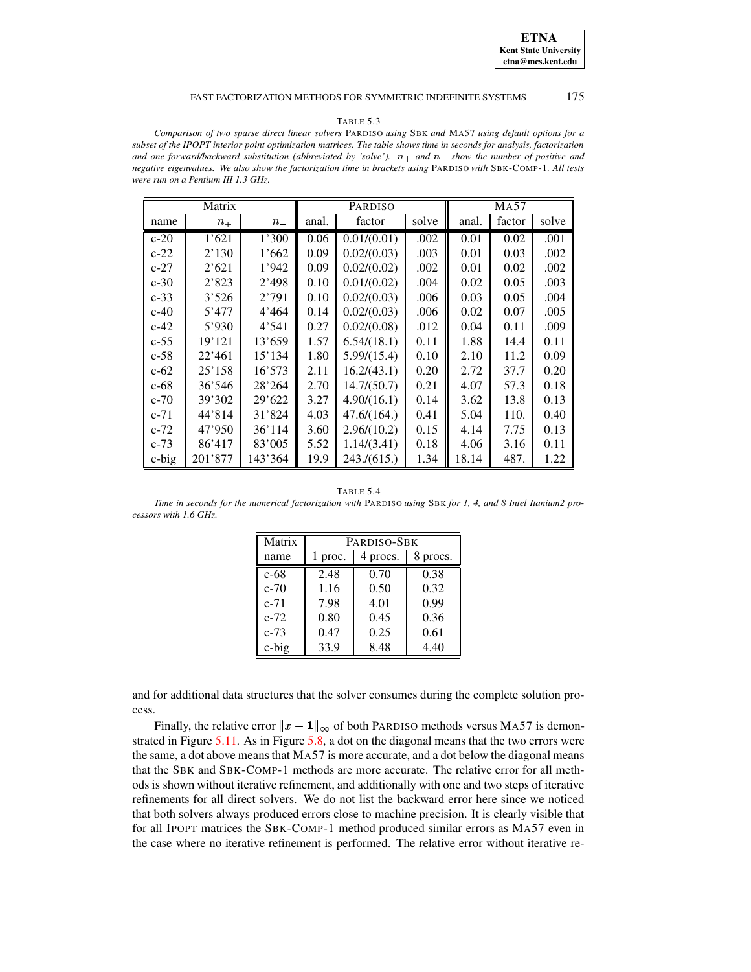#### TABLE 5.3

<span id="page-17-0"></span>*Comparison of two sparse direct linear solvers* PARDISO *using* SBK *and* MA57 *using default options for a* subset of the IPOPT interior point optimization matrices. The table shows time in seconds for analysis, factorization and one forward/backward substitution (abbreviated by 'solve').  $n_+$  and  $n_-$  show the number of positive and *negative eigenvalues. We also show the factorization time in brackets using* PARDISO *with* SBK-COMP-1*. All tests were run on a Pentium III 1.3 GHz.*

| Matrix   |         |         | PARDISO |             |       | <b>MA57</b> |        |       |
|----------|---------|---------|---------|-------------|-------|-------------|--------|-------|
| name     | $n_{+}$ | $n_{-}$ | anal.   | factor      | solve | anal.       | factor | solve |
| $c-20$   | 1'621   | 1'300   | 0.06    | 0.01/(0.01) | .002  | 0.01        | 0.02   | .001  |
| $c-22$   | 2'130   | 1'662   | 0.09    | 0.02/(0.03) | .003  | 0.01        | 0.03   | .002  |
| $c-27$   | 2'621   | 1'942   | 0.09    | 0.02/(0.02) | .002  | 0.01        | 0.02   | .002  |
| $c-30$   | 2'823   | 2'498   | 0.10    | 0.01/(0.02) | .004  | 0.02        | 0.05   | .003  |
| $c-33$   | 3'526   | 2'791   | 0.10    | 0.02/(0.03) | .006  | 0.03        | 0.05   | .004  |
| $c-40$   | 5'477   | 4'464   | 0.14    | 0.02/(0.03) | .006  | 0.02        | 0.07   | .005  |
| $c-42$   | 5'930   | 4'541   | 0.27    | 0.02/(0.08) | .012  | 0.04        | 0.11   | .009  |
| $c - 55$ | 19'121  | 13'659  | 1.57    | 6.54/(18.1) | 0.11  | 1.88        | 14.4   | 0.11  |
| $c-58$   | 22'461  | 15'134  | 1.80    | 5.99/(15.4) | 0.10  | 2.10        | 11.2   | 0.09  |
| $c-62$   | 25'158  | 16'573  | 2.11    | 16.2/(43.1) | 0.20  | 2.72        | 37.7   | 0.20  |
| $c-68$   | 36'546  | 28'264  | 2.70    | 14.7/(50.7) | 0.21  | 4.07        | 57.3   | 0.18  |
| $c-70$   | 39'302  | 29'622  | 3.27    | 4.90/(16.1) | 0.14  | 3.62        | 13.8   | 0.13  |
| $c-71$   | 44'814  | 31'824  | 4.03    | 47.6/(164)  | 0.41  | 5.04        | 110.   | 0.40  |
| $c-72$   | 47'950  | 36'114  | 3.60    | 2.96/(10.2) | 0.15  | 4.14        | 7.75   | 0.13  |
| $c-73$   | 86'417  | 83'005  | 5.52    | 1.14/(3.41) | 0.18  | 4.06        | 3.16   | 0.11  |
| $c$ -big | 201'877 | 143'364 | 19.9    | 243./(615.) | 1.34  | 18.14       | 487.   | 1.22  |

TABLE 5.4

<span id="page-17-1"></span>Time in seconds for the numerical factorization with PARDISO using SBK for 1, 4, and 8 Intel Itanium2 pro*cessors with 1.6 GHz.*

| Matrix   | PARDISO-SBK |          |          |  |  |
|----------|-------------|----------|----------|--|--|
| name     | 1 proc.     | 4 procs. | 8 procs. |  |  |
| $c-68$   | 2.48        | 0.70     | 0.38     |  |  |
| $c-70$   | 1.16        | 0.50     | 0.32     |  |  |
| $c-71$   | 7.98        | 4.01     | 0.99     |  |  |
| $c-72$   | 0.80        | 0.45     | 0.36     |  |  |
| $c-73$   | 0.47        | 0.25     | 0.61     |  |  |
| $c$ -big | 33.9        | 8.48     | 4.40     |  |  |

and for additional data structures that the solver consumes during the complete solution process. .<br>Finally, the relative error  $||x - 1||_{\infty}$  of both

 $1\|_\infty$  of both PARDISO methods versus MA57 is demonstrated in Figure [5.11.](#page-19-0) As in Figure [5.8,](#page-15-0) a dot on the diagonal means that the two errors were the same, a dot above means that MA57 is more accurate, and a dot below the diagonal means that the SBK and SBK-COMP-1 methods are more accurate. The relative error for all methods is shown without iterative refinement, and additionally with one and two steps of iterative refinements for all direct solvers. We do not list the backward error here since we noticed that both solvers always produced errors close to machine precision. It is clearly visible that for all IPOPT matrices the SBK-COMP-1 method produced similar errors as MA57 even in the case where no iterative refinement is performed. The relative error without iterative re-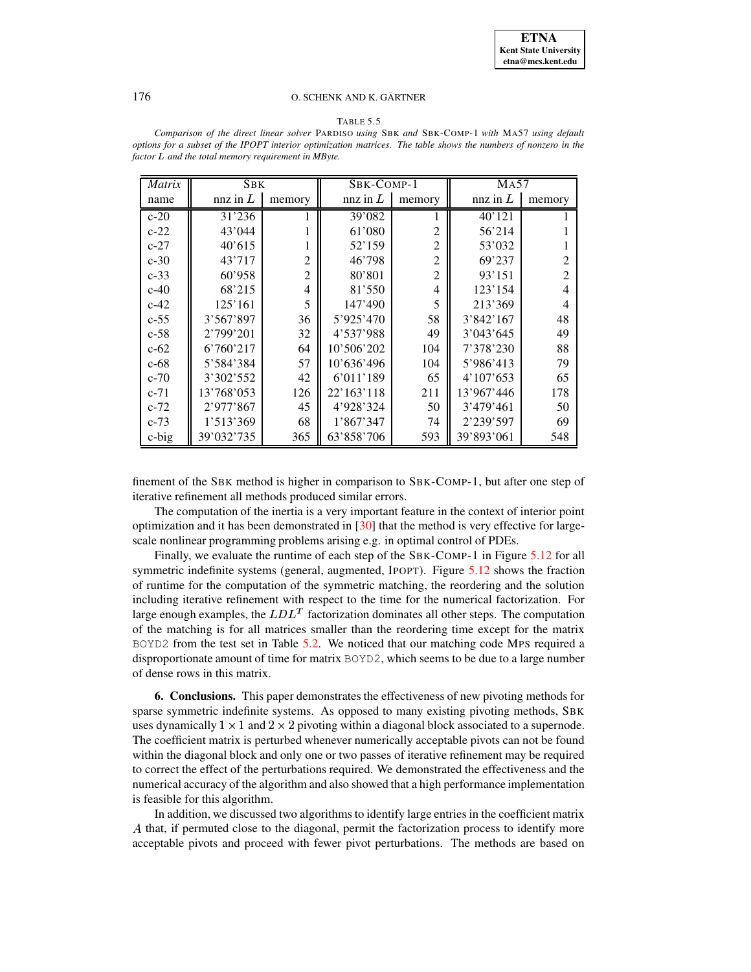#### TABLE 5.5

<span id="page-18-1"></span>

| Comparison of the direct linear solver PARDISO using SBK and SBK-COMP-1 with MA57 using default                 |  |
|-----------------------------------------------------------------------------------------------------------------|--|
| options for a subset of the IPOPT interior optimization matrices. The table shows the numbers of nonzero in the |  |
| factor L and the total memory requirement in MByte.                                                             |  |
|                                                                                                                 |  |

| Matrix   | <b>SBK</b> |                | SBK-COMP-1 |                | <b>MA57</b> |                |  |
|----------|------------|----------------|------------|----------------|-------------|----------------|--|
| name     | nnz in $L$ | memory         | nnz in $L$ | memory         | nnz in $L$  | memory         |  |
| $c-20$   | 31'236     |                | 39'082     |                | 40'121      |                |  |
| $c-22$   | 43'044     |                | 61'080     | $\overline{c}$ | 56'214      |                |  |
| $c-27$   | 40'615     |                | 52'159     | $\overline{c}$ | 53'032      |                |  |
| $c-30$   | 43'717     | $\overline{c}$ | 46'798     | $\overline{c}$ | 69'237      | $\overline{2}$ |  |
| $c-33$   | 60'958     | $\overline{2}$ | 80'801     | $\overline{2}$ | 93'151      | $\overline{2}$ |  |
| $c-40$   | 68'215     | 4              | 81'550     | 4              | 123'154     | $\overline{4}$ |  |
| $c-42$   | 125'161    | 5              | 147'490    | 5              | 213'369     | $\overline{4}$ |  |
| $c - 55$ | 3'567'897  | 36             | 5'925'470  | 58             | 3'842'167   | 48             |  |
| $c-58$   | 2'799'201  | 32             | 4'537'988  | 49             | 3'043'645   | 49             |  |
| $c-62$   | 6'760'217  | 64             | 10'506'202 | 104            | 7'378'230   | 88             |  |
| $c-68$   | 5'584'384  | 57             | 10'636'496 | 104            | 5'986'413   | 79             |  |
| $c-70$   | 3'302'552  | 42             | 6'011'189  | 65             | 4'107'653   | 65             |  |
| $c-71$   | 13'768'053 | 126            | 22'163'118 | 211            | 13'967'446  | 178            |  |
| $c-72$   | 2'977'867  | 45             | 4'928'324  | 50             | 3'479'461   | 50             |  |
| $c-73$   | 1'513'369  | 68             | 1'867'347  | 74             | 2'239'597   | 69             |  |
| $c$ -big | 39'032'735 | 365            | 63'858'706 | 593            | 39'893'061  | 548            |  |

finement of the SBK method is higher in comparison to SBK-COMP-1, but after one step of iterative refinement all methods produced similar errors.

The computation of the inertia is a very important feature in the context of interior point optimization and it has been demonstrated in [\[30\]](#page-21-14) that the method is very effective for largescale nonlinear programming problems arising e.g. in optimal control of PDEs.

Finally, we evaluate the runtime of each step of the SBK-COMP-1 in Figure [5.12](#page-20-16) for all symmetric indefinite systems (general, augmented, IPOPT). Figure [5.12](#page-20-16) shows the fraction of runtime for the computation of the symmetric matching, the reordering and the solution including iterative refinement with respect to the time for the numerical factorization. For large enough examples, the  $LDL<sup>T</sup>$  factorization dominates all other steps. The computation of the matching is for all matrices smaller than the reordering time except for the matrix BOYD2 from the test set in Table [5.2.](#page-10-0) We noticed that our matching code MPS required a disproportionate amount of time for matrix BOYD2, which seems to be due to a large number of dense rows in this matrix.

<span id="page-18-0"></span>**6. Conclusions.** This paper demonstrates the effectiveness of new pivoting methods for sparse symmetric indefinite systems. As opposed to many existing pivoting methods, SBK uses dynamically  $1 \times 1$  and  $2 \times 2$  pivoting within a diagonal block associated to a supernode. The coefficient matrix is perturbed whenever numerically acceptable pivots can not be found within the diagonal block and only one or two passes of iterative refinement may be required to correct the effect of the perturbations required. We demonstrated the effectiveness and the numerical accuracy of the algorithm and also showed that a high performance implementation is feasible for this algorithm.

In addition, we discussed two algorithms to identify large entries in the coefficient matrix  $A$  that, if permuted close to the diagonal, permit the factorization process to identify more acceptable pivots and proceed with fewer pivot perturbations. The methods are based on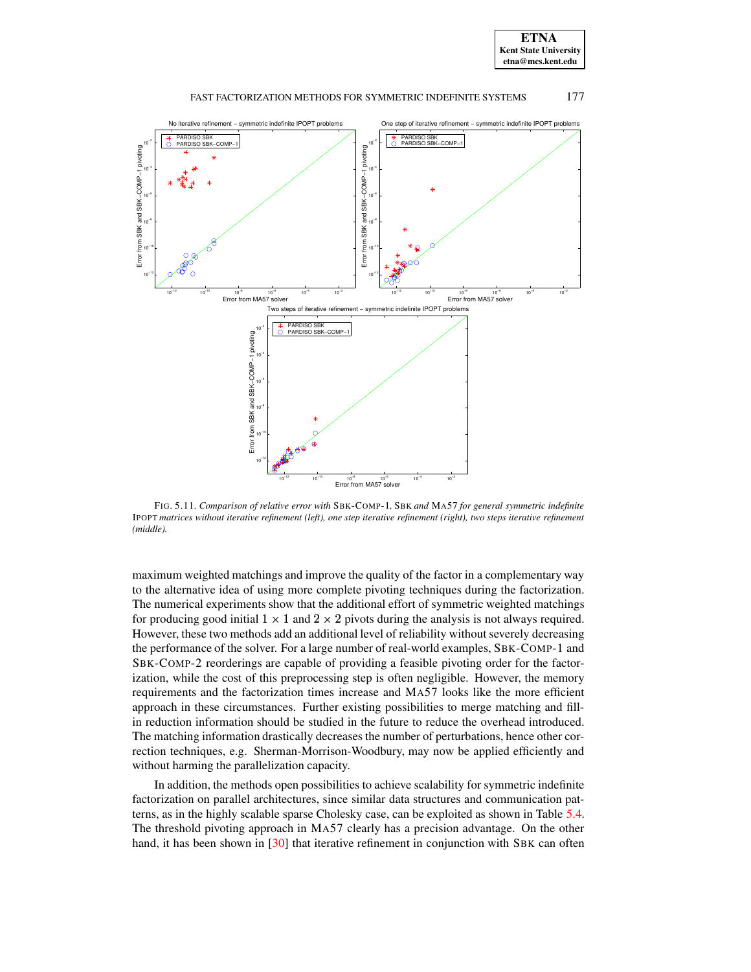



<span id="page-19-0"></span>FIG. 5.11. *Comparison of relative error with* SBK-COMP-1*,* SBK *and* MA57 *for general symmetric indefinite* IPOPT *matrices without iterative refinement (left), one step iterative refinement (right), two steps iterative refinement (middle).*

maximum weighted matchings and improve the quality of the factor in a complementary way to the alternative idea of using more complete pivoting techniques during the factorization. The numerical experiments show that the additional effort of symmetric weighted matchings for producing good initial  $1 \times 1$  and  $2 \times 2$  pivots during the analysis is not always required. However, these two methods add an additional level of reliability without severely decreasing the performance of the solver. For a large number of real-world examples, SBK-COMP-1 and SBK-COMP-2 reorderings are capable of providing a feasible pivoting order for the factorization, while the cost of this preprocessing step is often negligible. However, the memory requirements and the factorization times increase and MA57 looks like the more efficient approach in these circumstances. Further existing possibilities to merge matching and fillin reduction information should be studied in the future to reduce the overhead introduced. The matching information drastically decreases the number of perturbations, hence other correction techniques, e.g. Sherman-Morrison-Woodbury, may now be applied efficiently and without harming the parallelization capacity.

In addition, the methods open possibilities to achieve scalability for symmetric indefinite factorization on parallel architectures, since similar data structures and communication patterns, as in the highly scalable sparse Cholesky case, can be exploited as shown in Table [5.4.](#page-17-1) The threshold pivoting approach in MA57 clearly has a precision advantage. On the other hand, it has been shown in [\[30\]](#page-21-14) that iterative refinement in conjunction with SBK can often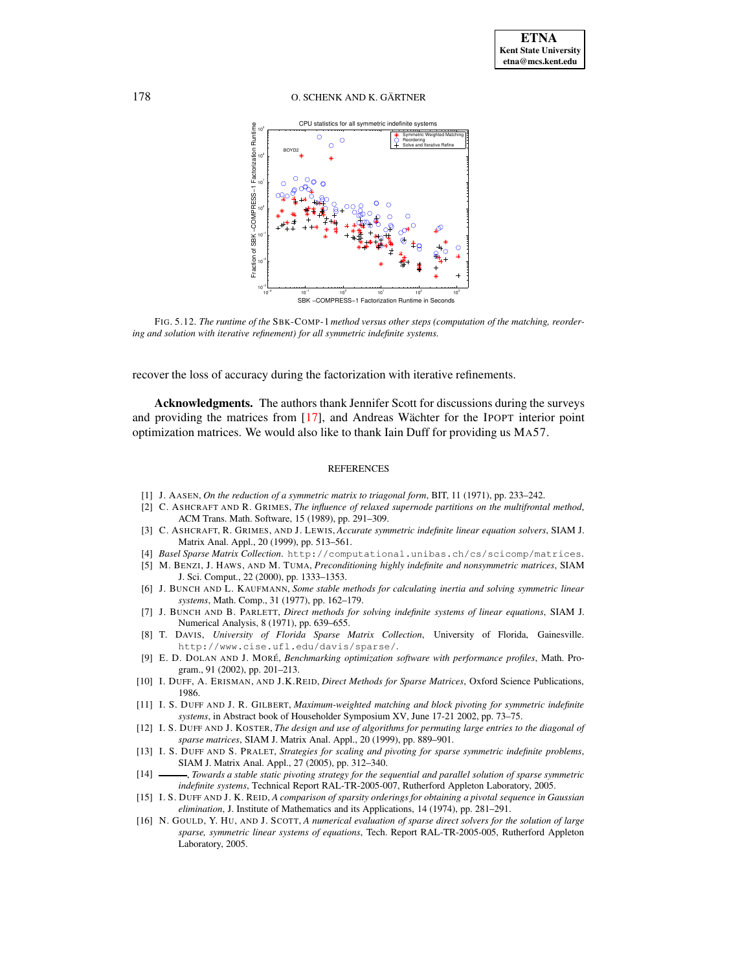

<span id="page-20-16"></span>FIG. 5.12. *The runtime of the* SBK-COMP-1 *method versus other steps (computation of the matching, reordering and solution with iterative refinement) for all symmetric indefinite systems.*

recover the loss of accuracy during the factorization with iterative refinements.

**Acknowledgments.** The authors thank Jennifer Scott for discussions during the surveys and providing the matrices from  $[17]$ , and Andreas Wächter for the IPOPT interior point optimization matrices. We would also like to thank Iain Duff for providing us MA57.

#### REFERENCES

- <span id="page-20-11"></span><span id="page-20-3"></span>[1] J. AASEN, *On the reduction of a symmetric matrix to triagonal form*, BIT, 11 (1971), pp. 233–242.
- <span id="page-20-5"></span>[2] C. ASHCRAFT AND R. GRIMES, *The influence of relaxed supernode partitions on the multifrontal method*, ACM Trans. Math. Software, 15 (1989), pp. 291–309.
- [3] C. ASHCRAFT, R. GRIMES, AND J. LEWIS, *Accurate symmetric indefinite linear equation solvers*, SIAM J. Matrix Anal. Appl., 20 (1999), pp. 513–561.
- <span id="page-20-15"></span><span id="page-20-12"></span>[4] *Basel Sparse Matrix Collection*. http://computational.unibas.ch/cs/scicomp/matrices.
- [5] M. BENZI, J. HAWS, AND M. TUMA, *Preconditioning highly indefinite and nonsymmetric matrices*, SIAM J. Sci. Comput., 22 (2000), pp. 1333–1353.
- <span id="page-20-1"></span>[6] J. BUNCH AND L. KAUFMANN, *Some stable methods for calculating inertia and solving symmetric linear systems*, Math. Comp., 31 (1977), pp. 162–179.
- <span id="page-20-2"></span>[7] J. BUNCH AND B. PARLETT, *Direct methods for solving indefinite systems of linear equations*, SIAM J. Numerical Analysis, 8 (1971), pp. 639–655.
- <span id="page-20-13"></span>[8] T. DAVIS, *University of Florida Sparse Matrix Collection*, University of Florida, Gainesville. http://www.cise.ufl.edu/davis/sparse/.
- <span id="page-20-14"></span>[9] E. D. DOLAN AND J. MORE´, *Benchmarking optimization software with performance profiles*, Math. Program., 91 (2002), pp. 201–213.
- <span id="page-20-6"></span>[10] I. DUFF, A. ERISMAN, AND J.K.REID, *Direct Methods for Sparse Matrices*, Oxford Science Publications, 1986.
- <span id="page-20-9"></span>[11] I. S. DUFF AND J. R. GILBERT, *Maximum-weighted matching and block pivoting for symmetric indefinite systems*, in Abstract book of Householder Symposium XV, June 17-21 2002, pp. 73–75.
- <span id="page-20-7"></span>[12] I. S. DUFF AND J. KOSTER, *The design and use of algorithms for permuting large entries to the diagonal of sparse matrices*, SIAM J. Matrix Anal. Appl., 20 (1999), pp. 889–901.
- <span id="page-20-8"></span>[13] I. S. DUFF AND S. PRALET, *Strategies for scaling and pivoting for sparse symmetric indefinite problems*, SIAM J. Matrix Anal. Appl., 27 (2005), pp. 312–340.
- <span id="page-20-10"></span>[14] , *Towards a stable static pivoting strategy for the sequential and parallel solution of sparse symmetric indefinite systems*, Technical Report RAL-TR-2005-007, Rutherford Appleton Laboratory, 2005.
- <span id="page-20-4"></span>[15] I. S. DUFF AND J. K. REID, *A comparison of sparsity orderings for obtaining a pivotal sequence in Gaussian elimination*, J. Institute of Mathematics and its Applications, 14 (1974), pp. 281–291.
- <span id="page-20-0"></span>[16] N. GOULD, Y. HU, AND J. SCOTT, *A numerical evaluation of sparse direct solvers for the solution of large sparse, symmetric linear systems of equations*, Tech. Report RAL-TR-2005-005, Rutherford Appleton Laboratory, 2005.